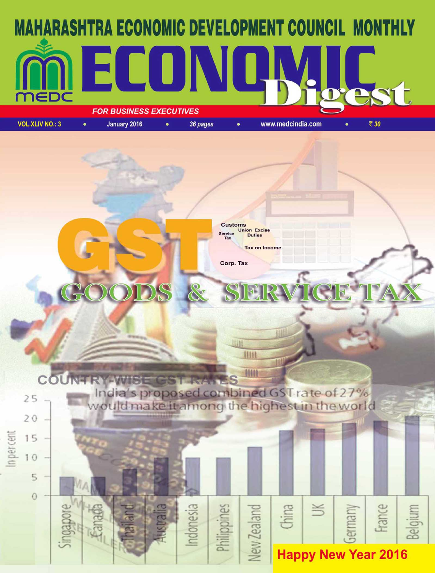# **MAHARASHTRA ECONOMIC DEVELOPMENT COUNCIL MONTHLY** ECON **FOR BUSINESS EXECUTIVES**

**VOL.XLIV NO.: 3** 

25

 $20$ 

15

 $10$ 

5

 $\ddot{o}$ 

**TOPE CENT** 

January 2016

36 pages

www.medcindia.com

₹ 30

**Customs Union Excise** Service **Duties** Tax

**Tax on Income** 

Corp. Tax

围框

IIII

0000

**Vew Zealand** 

COUNTRY-WISE CST RANES India's proposed combined GST rate of 27%<br>would make it among the highest in the world

onesia

### **Happy New Year 2016**

Belor

 $\asymp$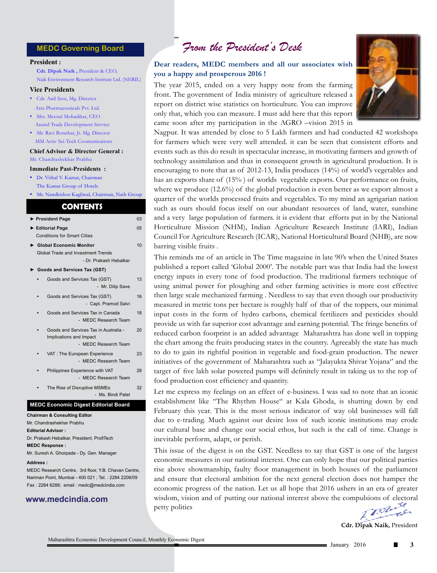#### **President :**

**Cdr. Dipak Naik ,** President & CEO, Naik Environment Research Institute Ltd. (NERIL)

#### **Vice Presidents**

- y Cdr. Anil Save, Mg. Director Atra Pharmaceuticals Pvt. Ltd.
- Mrs. Meenal Mohadikar, CEO Anand Trade Development Service
- y Mr. Ravi Boratkar, Jt. Mg. Director MM Activ Sci-Tech Coomunications

**Chief Advisor & Director General :**  Mr. Chandrashekhar Prabhu

**Immediate Past-Presidents :**

- y Dr. Vithal V. Kamat, Chairman The Kamat Group of Hotels
- y Mr. Nandkishor Kagliwal, Chairman, Nath Group

**CONTENTS** 

| ▶ President Page                                                                          |                                                                                          | 03             |
|-------------------------------------------------------------------------------------------|------------------------------------------------------------------------------------------|----------------|
| Editorial Page<br><b>Conditions for Smart Cities</b>                                      |                                                                                          | 0 <sub>5</sub> |
| ▶ Global Economic Monitor<br>Global Trade and Investment Trends<br>- Dr. Prakash Hebalkar |                                                                                          | 10             |
|                                                                                           | Goods and Services Tax (GST)<br>Goods and Services Tax (GST)<br>- Mr. Dilip Save         | 13             |
|                                                                                           | Goods and Services Tax (GST)<br>- Capt. Pramod Salvi                                     | 16             |
|                                                                                           | Goods and Services Tax in Canada<br>- MEDC Research Team                                 | 18             |
|                                                                                           | Goods and Services Tax in Australia -<br>Implications and Impact<br>- MEDC Research Team | 20             |
|                                                                                           | VAT: The European Experience<br>- MEDC Research Team                                     | 23             |
|                                                                                           | Philippines Experience with VAT<br>- MEDC Research Team                                  | 28             |
|                                                                                           | The Rise of Disruptive MSMEs<br>- Ms. Bindi Patel                                        | 32             |
| <b>MEDC Economic Digest Editorial Board</b>                                               |                                                                                          |                |
| <b>Chairman &amp; Consulting Editor</b>                                                   |                                                                                          |                |
| Mr. Chandrashekhar Prabhu                                                                 |                                                                                          |                |

#### **Editorial Advisor :**

Dr. Prakash Hebalkar, President, ProfiTech

 **MEDC Response :** 

Mr. Suresh A. Ghorpade - Dy. Gen. Manager

#### **Address :**

 MEDC Research Centre, 3rd floor, Y.B. Chavan Centre, Nariman Point, Mumbai - 400 021 ; Tel. : 2284 2206/09 Fax : 2284 6288; email : medc@medcindia.com

### **www.medcindia.com**

**MEDC Governing Board** *From the President's Desk*

#### **Dear readers, MEDC members and all our associates wish you a happy and prosperous 2016 !**

The year 2015, ended on a very happy note from the farming front. The government of India ministry of agriculture released a report on district wise statistics on horticulture. You can improve only that, which you can measure. I must add here that this report came soon after my participation in the AGRO –vision 2015 in



Nagpur. It was attended by close to 5 Lakh farmers and had conducted 42 workshops for farmers which were very well attended. it can be seen that consistent efforts and events such as this do result in spectacular increase, in motivating farmers and growth of technology assimilation and thus in consequent growth in agricultural production. It is encouraging to note that as of 2012-13, India produces (14%) of world's vegetables and has an exports share of (15% ) of worlds vegetable exports. Our performance on fruits, where we produce (12.6%) of the global production is even better as we export almost a quarter of the worlds processed fruits and vegetables. To my mind an agrigarian nation such as ours should focus itself on our abundant resources of land, water, sunshine and a very large population of farmers. it is evident that efforts put in by the National Horticulture Mission (NHM), Indian Agriculture Research Institute (IARI), Indian Council For Agriculture Research (ICAR), National Horticultural Board (NHB), are now barring visible fruits .

This reminds me of an article in The Time magazine in late 90's when the United States published a report called 'Global 2000'. The notable part was that India had the lowest energy inputs in every tone of food production. The traditional farmers technique of using animal power for ploughing and other farming activities is more cost effective then large scale mechanized farming . Needless to say that even though our productivity measured in metric tons per hectare is roughly half of that of the toppers, our minimal input costs in the form of hydro carbons, chemical fertilizers and pesticides should provide us with far superior cost advantage and earning potential. The fringe benefits of reduced carbon footprint is an added advantage Maharashtra has done well in topping the chart among the fruits producing states in the country. Agreeably the state has much to do to gain its rightful position in vegetable and food-grain production. The newer initiatives of the government of Maharashtra such as "Jalayukta Shivar Yojana'' and the target of five lakh solar powered pumps will definitely result in taking us to the top of food production cost efficiency and quantity.

Let me express my feelings on an effect of e-business. I was sad to note that an iconic establishment like "The Rhythm House" at Kala Ghoda, is shutting down by end February this year. This is the most serious indicator of way old businesses will fall due to e-trading. Much against our desire loss of such iconic institutions may erode our cultural base and change our social ethos, but such is the call of time. Change is inevitable perform, adapt, or perish.

This issue of the digest is on the GST. Needless to say that GST is one of the largest economic measures in our national interest. One can only hope that our political parties rise above showmanship, faulty floor management in both houses of the parliament and ensure that electoral ambition for the next general election does not hamper the economic progress of the nation. Let us all hope that 2016 ushers in an era of greater wisdom, vision and of putting our national interest above the compulsions of electoral<br>petty politics petty politics

مفيتة

**3**

**Cdr. Dipak Naik,** President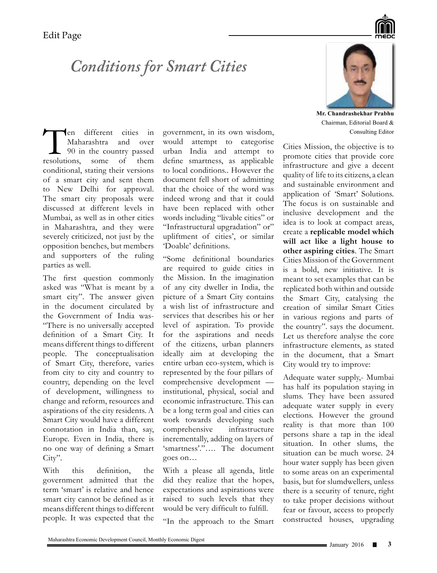



**Mr. Chandrashekhar Prabhu** Chairman, Editorial Board & Consulting Editor

en different cities in<br>Maharashtra and over<br>90 in the country passed<br>tions, some of them Maharashtra and over 90 in the country passed resolutions, conditional, stating their versions of a smart city and sent them to New Delhi for approval. The smart city proposals were discussed at different levels in Mumbai, as well as in other cities in Maharashtra, and they were severely criticized, not just by the opposition benches, but members and supporters of the ruling parties as well.

The first question commonly asked was "What is meant by a smart city". The answer given in the document circulated by the Government of India was- "There is no universally accepted definition of a Smart City. It means different things to different people. The conceptualisation of Smart City, therefore, varies from city to city and country to country, depending on the level of development, willingness to change and reform, resources and aspirations of the city residents. A Smart City would have a different connotation in India than, say, Europe. Even in India, there is no one way of defining a Smart City".

With this definition, the government admitted that the term 'smart' is relative and hence smart city cannot be defined as it means different things to different people. It was expected that the government, in its own wisdom, would attempt to categorise urban India and attempt to define smartness, as applicable to local conditions.. However the document fell short of admitting that the choice of the word was indeed wrong and that it could have been replaced with other words including "livable cities" or "Infrastructural upgradation" or" upliftment of cities', or similar 'Doable' definitions.

"Some definitional boundaries are required to guide cities in the Mission. In the imagination of any city dweller in India, the picture of a Smart City contains a wish list of infrastructure and services that describes his or her level of aspiration. To provide for the aspirations and needs of the citizens, urban planners ideally aim at developing the entire urban eco-system, which is represented by the four pillars of comprehensive development institutional, physical, social and economic infrastructure. This can be a long term goal and cities can work towards developing such comprehensive infrastructure incrementally, adding on layers of 'smartness'."…. The document goes on…

With a please all agenda, little did they realize that the hopes, expectations and aspirations were raised to such levels that they would be very difficult to fulfill.

"In the approach to the Smart

Cities Mission, the objective is to promote cities that provide core infrastructure and give a decent quality of life to its citizens, a clean and sustainable environment and application of 'Smart' Solutions. The focus is on sustainable and inclusive development and the idea is to look at compact areas, create a **replicable model which will act like a light house to other aspiring cities**. The Smart Cities Mission of the Government is a bold, new initiative. It is meant to set examples that can be replicated both within and outside the Smart City, catalysing the creation of similar Smart Cities in various regions and parts of the country". says the document. Let us therefore analyse the core infrastructure elements, as stated in the document, that a Smart City would try to improve:

Adequate water supply,- Mumbai has half its population staying in slums. They have been assured adequate water supply in every elections. However the ground reality is that more than 100 persons share a tap in the ideal situation. In other slums, the situation can be much worse. 24 hour water supply has been given to some areas on an experimental basis, but for slumdwellers, unless there is a security of tenure, right to take proper decisions without fear or favour, access to properly constructed houses, upgrading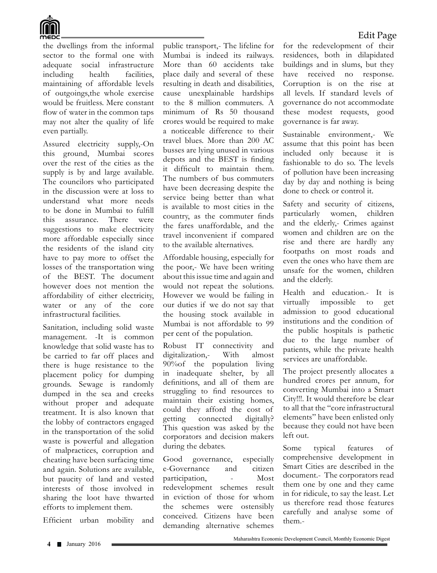

the dwellings from the informal sector to the formal one with adequate social infrastructure including health facilities, maintaining of affordable levels of outgoings,the whole exercise would be fruitless. Mere constant flow of water in the common taps may not alter the quality of life even partially.

Assured electricity supply,-On this ground, Mumbai scores over the rest of the cities as the supply is by and large available. The councilors who participated in the discussion were at loss to understand what more needs to be done in Mumbai to fulfill this assurance. There were suggestions to make electricity more affordable especially since the residents of the island city have to pay more to offset the losses of the transportation wing of the BEST. The document however does not mention the affordability of either electricity, water or any of the core infrastructural facilities.

Sanitation, including solid waste management. -It is common knowledge that solid waste has to be carried to far off places and there is huge resistance to the placement policy for dumping grounds. Sewage is randomly dumped in the sea and creeks without proper and adequate treatment. It is also known that the lobby of contractors engaged in the transportation of the solid waste is powerful and allegation of malpractices, corruption and cheating have been surfacing time and again. Solutions are available, but paucity of land and vested interests of those involved in sharing the loot have thwarted efforts to implement them.

Efficient urban mobility and

public transport,- The lifeline for Mumbai is indeed its railways. More than 60 accidents take place daily and several of these resulting in death and disabilities, cause unexplainable hardships to the 8 million commuters. A minimum of Rs 50 thousand crores would be required to make a noticeable difference to their travel blues. More than 200 AC busses are lying unused in various depots and the BEST is finding it difficult to maintain them. The numbers of bus commuters have been decreasing despite the service being better than what is available to most cities in the country, as the commuter finds the fares unaffordable, and the travel inconvenient if compared to the available alternatives.

Affordable housing, especially for the poor,- We have been writing about this issue time and again and would not repeat the solutions. However we would be failing in our duties if we do not say that the housing stock available in Mumbai is not affordable to 99 per cent of the population.

Robust IT connectivity and digitalization,- With almost 90%of the population living in inadequate shelter, by all definitions, and all of them are struggling to find resources to maintain their existing homes, could they afford the cost of getting connected digitally? This question was asked by the corporators and decision makers during the debates.

Good governance, especially e-Governance and citizen participation, - Most redevelopment schemes result in eviction of those for whom the schemes were ostensibly conceived. Citizens have been demanding alternative schemes for the redevelopment of their residences, both in dilapidated buildings and in slums, but they have received no response. Corruption is on the rise at all levels. If standard levels of governance do not accommodate these modest requests, good governance is far away.

Sustainable environment,- We assume that this point has been included only because it is fashionable to do so. The levels of pollution have been increasing day by day and nothing is being done to check or control it.

Safety and security of citizens, particularly women, children and the elderly,- Crimes against women and children are on the rise and there are hardly any footpaths on most roads and even the ones who have them are unsafe for the women, children and the elderly.

Health and education.- It is virtually impossible to get admission to good educational institutions and the condition of the public hospitals is pathetic due to the large number of patients, while the private health services are unaffordable.

The project presently allocates a hundred crores per annum, for converting Mumbai into a Smart City!!!. It would therefore be clear to all that the "core infrastructural elements" have been enlisted only because they could not have been left out.

Some typical features of comprehensive development in Smart Cities are described in the document.- The corporators read them one by one and they came in for ridicule, to say the least. Let us therefore read those features carefully and analyse some of them.-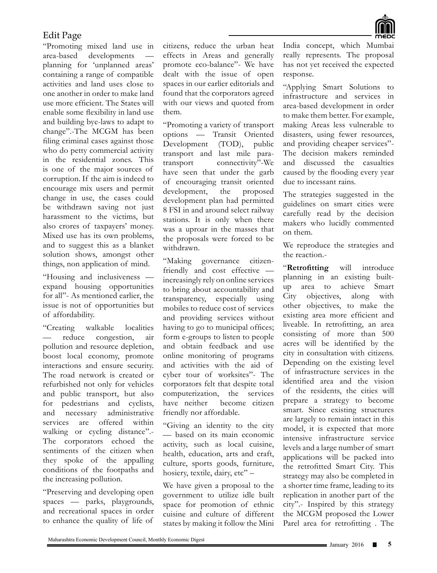### Edit Page

"Promoting mixed land use in area-based developments planning for 'unplanned areas' containing a range of compatible activities and land uses close to one another in order to make land use more efficient. The States will enable some flexibility in land use and building bye-laws to adapt to change".-The MCGM has been filing criminal cases against those who do petty commercial activity in the residential zones. This is one of the major sources of corruption. If the aim is indeed to encourage mix users and permit change in use, the cases could be withdrawn saving not just harassment to the victims, but also crores of taxpayers' money. Mixed use has its own problems, and to suggest this as a blanket solution shows, amongst other things, non application of mind.

"Housing and inclusiveness expand housing opportunities for all"- As mentioned earlier, the issue is not of opportunities but of affordability.

"Creating walkable localities reduce congestion, air pollution and resource depletion, boost local economy, promote interactions and ensure security. The road network is created or refurbished not only for vehicles and public transport, but also for pedestrians and cyclists, and necessary administrative services are offered within walking or cycling distance".-The corporators echoed the sentiments of the citizen when they spoke of the appalling conditions of the footpaths and the increasing pollution.

"Preserving and developing open spaces — parks, playgrounds, and recreational spaces in order to enhance the quality of life of citizens, reduce the urban heat effects in Areas and generally promote eco-balance"- We have dealt with the issue of open spaces in our earlier editorials and found that the corporators agreed with our views and quoted from them.

"Promoting a variety of transport options — Transit Oriented Development (TOD), public transport and last mile paratransport connectivity"-We have seen that under the garb of encouraging transit oriented development, the proposed development plan had permitted 8 FSI in and around select railway stations. It is only when there was a uproar in the masses that the proposals were forced to be withdrawn.

"Making governance citizenfriendly and cost effective increasingly rely on online services to bring about accountability and transparency, especially using mobiles to reduce cost of services and providing services without having to go to municipal offices; form e-groups to listen to people and obtain feedback and use online monitoring of programs and activities with the aid of cyber tour of worksites"- The corporators felt that despite total computerization, the services have neither become citizen friendly nor affordable.

"Giving an identity to the city — based on its main economic activity, such as local cuisine, health, education, arts and craft, culture, sports goods, furniture, hosiery, textile, dairy, etc" –

We have given a proposal to the government to utilize idle built space for promotion of ethnic cuisine and culture of different states by making it follow the Mini India concept, which Mumbai really represents. The proposal has not yet received the expected response.

"Applying Smart Solutions to infrastructure and services in area-based development in order to make them better. For example, making Areas less vulnerable to disasters, using fewer resources, and providing cheaper services"- The decision makers reminded and discussed the casualties caused by the flooding every year due to incessant rains.

The strategies suggested in the guidelines on smart cities were carefully read by the decision makers who lucidly commented on them.

We reproduce the strategies and the reaction.-

"**Retrofitting** will introduce planning in an existing builtup area to achieve Smart City objectives, along with other objectives, to make the existing area more efficient and liveable. In retrofitting, an area consisting of more than 500 acres will be identified by the city in consultation with citizens. Depending on the existing level of infrastructure services in the identified area and the vision of the residents, the cities will prepare a strategy to become smart. Since existing structures are largely to remain intact in this model, it is expected that more intensive infrastructure service levels and a large number of smart applications will be packed into the retrofitted Smart City. This strategy may also be completed in a shorter time frame, leading to its replication in another part of the city".- Inspired by this strategy the MCGM proposed the Lower Parel area for retrofitting . The



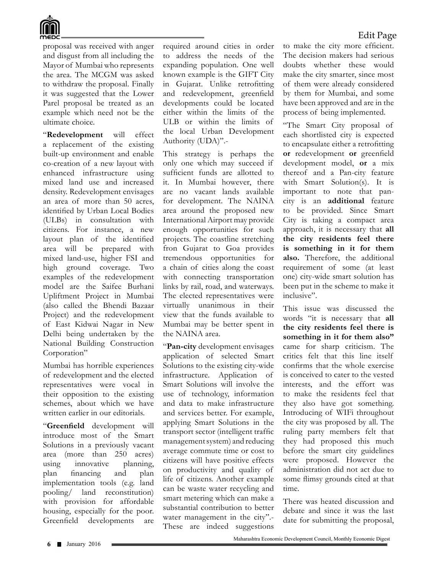

proposal was received with anger and disgust from all including the Mayor of Mumbai who represents the area. The MCGM was asked to withdraw the proposal. Finally it was suggested that the Lower Parel proposal be treated as an example which need not be the ultimate choice.

"**Redevelopment** will effect a replacement of the existing built-up environment and enable co-creation of a new layout with enhanced infrastructure using mixed land use and increased density. Redevelopment envisages an area of more than 50 acres, identified by Urban Local Bodies (ULBs) in consultation with citizens. For instance, a new layout plan of the identified area will be prepared with mixed land-use, higher FSI and high ground coverage. Two examples of the redevelopment model are the Saifee Burhani Upliftment Project in Mumbai (also called the Bhendi Bazaar Project) and the redevelopment of East Kidwai Nagar in New Delhi being undertaken by the National Building Construction Corporation"

Mumbai has horrible experiences of redevelopment and the elected representatives were vocal in their opposition to the existing schemes, about which we have written earlier in our editorials.

"**Greenfield** development will introduce most of the Smart Solutions in a previously vacant area (more than 250 acres) using innovative planning, plan financing and plan implementation tools (e.g. land pooling/ land reconstitution) with provision for affordable housing, especially for the poor. Greenfield developments are

required around cities in order to address the needs of the expanding population. One well known example is the GIFT City in Gujarat. Unlike retrofitting and redevelopment, greenfield developments could be located either within the limits of the ULB or within the limits of the local Urban Development Authority (UDA)".-

This strategy is perhaps the only one which may succeed if sufficient funds are allotted to it. In Mumbai however, there are no vacant lands available for development. The NAINA area around the proposed new International Airport may provide enough opportunities for such projects. The coastline stretching fron Gujarat to Goa provides tremendous opportunities for a chain of cities along the coast with connecting transportation links by rail, road, and waterways. The elected representatives were virtually unanimous in their view that the funds available to Mumbai may be better spent in the NAINA area.

"**Pan-city** development envisages application of selected Smart Solutions to the existing city-wide infrastructure. Application of Smart Solutions will involve the use of technology, information and data to make infrastructure and services better. For example, applying Smart Solutions in the transport sector (intelligent traffic management system) and reducing average commute time or cost to citizens will have positive effects on productivity and quality of life of citizens. Another example can be waste water recycling and smart metering which can make a substantial contribution to better water management in the city".- These are indeed suggestions

#### Edit Page

to make the city more efficient. The decision makers had serious doubts whether these would make the city smarter, since most of them were already considered by them for Mumbai, and some have been approved and are in the process of being implemented.

"The Smart City proposal of each shortlisted city is expected to encapsulate either a retrofitting **or** redevelopment **or** greenfield development model, **or** a mix thereof and a Pan-city feature with Smart Solution(s). It is important to note that pancity is an **additional** feature to be provided. Since Smart City is taking a compact area approach, it is necessary that **all the city residents feel there is something in it for them also.** Therefore, the additional requirement of some (at least one) city-wide smart solution has been put in the scheme to make it inclusive".

This issue was discussed the words "it is necessary that **all the city residents feel there is something in it for them also"** came for sharp criticism. The critics felt that this line itself confirms that the whole exercise is conceived to cater to the vested interests, and the effort was to make the residents feel that they also have got something. Introducing of WIFi throughout the city was proposed by all. The ruling party members felt that they had proposed this much before the smart city guidelines were proposed. However the administration did not act due to some flimsy grounds cited at that time.

There was heated discussion and debate and since it was the last date for submitting the proposal,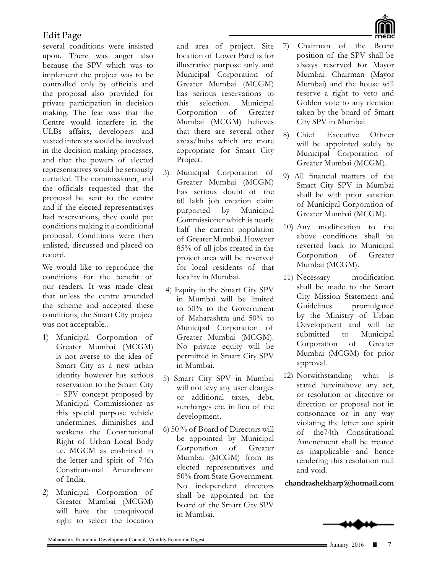### Edit Page

several conditions were insisted upon. There was anger also because the SPV which was to implement the project was to be controlled only by officials and the proposal also provided for private participation in decision making. The fear was that the Centre would interfere in the ULBs affairs, developers and vested interests would be involved in the decision making processes, and that the powers of elected representatives would be seriously curtailed. The commissioner, and the officials requested that the proposal be sent to the centre and if the elected representatives had reservations, they could put conditions making it a conditional proposal. Conditions were then enlisted, discussed and placed on record.

We would like to reproduce the conditions for the benefit of our readers. It was made clear that unless the centre amended the scheme and accepted these conditions, the Smart City project was not acceptable..-

- 1) Municipal Corporation of Greater Mumbai (MCGM) is not averse to the idea of Smart City as a new urban identity however has serious reservation to the Smart City – SPV concept proposed by Municipal Commissioner as this special purpose vehicle undermines, diminishes and weakens the Constitutional Right of Urban Local Body i.e. MGCM as enshrined in the letter and spirit of 74th Constitutional Amendment of India.
- 2) Municipal Corporation of Greater Mumbai (MCGM) will have the unequivocal right to select the location

and area of project. Site location of Lower Parel is for illustrative purpose only and Municipal Corporation of Greater Mumbai (MCGM) has serious reservations to this selection. Municipal Corporation of Greater Mumbai (MCGM) believes that there are several other areas/hubs which are more appropriate for Smart City Project.

- 3) Municipal Corporation of Greater Mumbai (MCGM) has serious doubt of the 60 lakh job creation claim purported by Municipal Commissioner which is nearly half the current population of Greater Mumbai. However 85% of all jobs created in the project area will be reserved for local residents of that locality in Mumbai.
- 4) Equity in the Smart City SPV in Mumbai will be limited to 50% to the Government of Maharashtra and 50% to Municipal Corporation of Greater Mumbai (MCGM). No private equity will be permitted in Smart City SPV in Mumbai.
- 5) Smart City SPV in Mumbai will not levy any user charges or additional taxes, debt, surcharges etc. in lieu of the development.
- 6) 50 % of Board of Directors will be appointed by Municipal Corporation of Greater Mumbai (MCGM) from its elected representatives and 50% from State Government. No independent directors shall be appointed on the board of the Smart City SPV in Mumbai.
- 7) Chairman of the Board position of the SPV shall be always reserved for Mayor Mumbai. Chairman (Mayor Mumbai) and the house will reserve a right to veto and Golden vote to any decision taken by the board of Smart City SPV in Mumbai.
- 8) Chief Executive Officer will be appointed solely by Municipal Corporation of Greater Mumbai (MCGM).
- 9) All financial matters of the Smart City SPV in Mumbai shall be with prior sanction of Municipal Corporation of Greater Mumbai (MCGM).
- 10) Any modification to the above conditions shall be reverted back to Municipal Corporation of Greater Mumbai (MCGM).
- 11) Necessary modification shall be made to the Smart City Mission Statement and Guidelines promulgated by the Ministry of Urban Development and will be submitted to Municipal Corporation of Greater Mumbai (MCGM) for prior approval.
- 12) Notwithstanding what is stated hereinabove any act, or resolution or directive or direction or proposal not in consonance or in any way violating the letter and spirit of the74th Constitutional Amendment shall be treated as inapplicable and hence rendering this resolution null and void.

**chandrashekharp@hotmail.com**

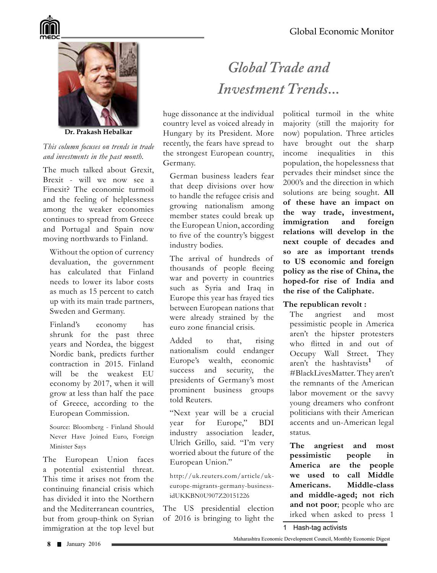



**Dr. Prakash Hebalkar**

*This column focuses on trends in trade and investments in the past month.* 

The much talked about Grexit, Brexit - will we now see a Finexit? The economic turmoil and the feeling of helplessness among the weaker economies continues to spread from Greece and Portugal and Spain now moving northwards to Finland.

Without the option of currency devaluation, the government has calculated that Finland needs to lower its labor costs as much as 15 percent to catch up with its main trade partners, Sweden and Germany.

Finland's economy has shrunk for the past three years and Nordea, the biggest Nordic bank, predicts further contraction in 2015. Finland will be the weakest EU economy by 2017, when it will grow at less than half the pace of Greece, according to the European Commission.

Source: Bloomberg - Finland Should Never Have Joined Euro, Foreign Minister Says

The European Union faces a potential existential threat. This time it arises not from the continuing financial crisis which has divided it into the Northern and the Mediterranean countries, but from group-think on Syrian immigration at the top level but

## *Global Trade and Investment Trends...*

huge dissonance at the individual country level as voiced already in Hungary by its President. More recently, the fears have spread to the strongest European country, Germany.

German business leaders fear that deep divisions over how to handle the refugee crisis and growing nationalism among member states could break up the European Union, according to five of the country's biggest industry bodies.

The arrival of hundreds of thousands of people fleeing war and poverty in countries such as Syria and Iraq in Europe this year has frayed ties between European nations that were already strained by the euro zone financial crisis.

Added to that, rising nationalism could endanger Europe's wealth, economic success and security, the presidents of Germany's most prominent business groups told Reuters.

"Next year will be a crucial year for Europe," BDI industry association leader, Ulrich Grillo, said. "I'm very worried about the future of the European Union."

http://uk.reuters.com/article/ukeurope-migrants-germany-businessidUKKBN0U907Z20151226

The US presidential election of 2016 is bringing to light the

political turmoil in the white majority (still the majority for now) population. Three articles have brought out the sharp income inequalities in this population, the hopelessness that pervades their mindset since the 2000's and the direction in which solutions are being sought. **All of these have an impact on the way trade, investment, immigration and foreign relations will develop in the next couple of decades and so are as important trends to US economic and foreign policy as the rise of China, the hoped-for rise of India and the rise of the Caliphate.**

#### **The republican revolt :**

The angriest and most pessimistic people in America aren't the hipster protesters who flitted in and out of Occupy Wall Street. They aren't the hashtavists**1** of #BlackLivesMatter. They aren't the remnants of the American labor movement or the savvy young dreamers who confront politicians with their American accents and un-American legal status.

**The angriest and most pessimistic people in America are the people we used to call Middle Americans. Middle-class and middle-aged; not rich and not poor**; people who are irked when asked to press 1

1 Hash-tag activists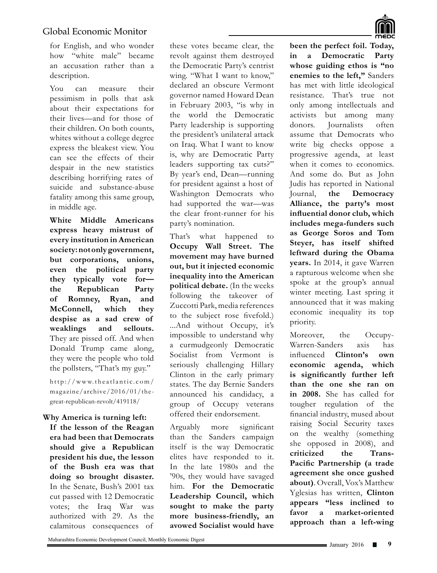for English, and who wonder how "white male" became an accusation rather than a description.

You can measure their pessimism in polls that ask about their expectations for their lives—and for those of their children. On both counts, whites without a college degree express the bleakest view. You can see the effects of their despair in the new statistics describing horrifying rates of suicide and substance-abuse fatality among this same group, in middle age.

**White Middle Americans express heavy mistrust of every institution in American society: not only government, but corporations, unions, even the political party they typically vote for the Republican Party of Romney, Ryan, and McConnell, which they despise as a sad crew of weaklings and sellouts.** They are pissed off. And when Donald Trump came along, they were the people who told the pollsters, "That's my guy."

http://www.theatlantic.com/ magazine/archive/2016/01/thegreat-republican-revolt/419118/

#### **Why America is turning left: If the lesson of the Reagan era had been that Democrats**

**should give a Republican president his due, the lesson of the Bush era was that doing so brought disaster.** In the Senate, Bush's 2001 tax cut passed with 12 Democratic votes; the Iraq War was authorized with 29. As the calamitous consequences of

these votes became clear, the revolt against them destroyed the Democratic Party's centrist wing. "What I want to know," declared an obscure Vermont governor named Howard Dean in February 2003, "is why in the world the Democratic Party leadership is supporting the president's unilateral attack on Iraq. What I want to know is, why are Democratic Party leaders supporting tax cuts?" By year's end, Dean—running for president against a host of Washington Democrats who had supported the war—was the clear front-runner for his party's nomination.

That's what happened to **Occupy Wall Street. The movement may have burned out, but it injected economic inequality into the American political debate.** (In the weeks following the takeover of Zuccotti Park, media references to the subject rose fivefold.) ...And without Occupy, it's impossible to understand why a curmudgeonly Democratic Socialist from Vermont is seriously challenging Hillary Clinton in the early primary states. The day Bernie Sanders announced his candidacy, a group of Occupy veterans offered their endorsement.

Arguably more significant than the Sanders campaign itself is the way Democratic elites have responded to it. In the late 1980s and the '90s, they would have savaged him. **For the Democratic Leadership Council, which sought to make the party more business-friendly, an avowed Socialist would have** 



**been the perfect foil. Today, in a Democratic Party whose guiding ethos is "no enemies to the left,"** Sanders has met with little ideological resistance. That's true not only among intellectuals and activists but among many donors. Journalists often assume that Democrats who write big checks oppose a progressive agenda, at least when it comes to economics. And some do. But as John Judis has reported in National Journal, **the Democracy Alliance, the party's most influential donor club, which includes mega-funders such as George Soros and Tom Steyer, has itself shifted leftward during the Obama years.** In 2014, it gave Warren a rapturous welcome when she spoke at the group's annual winter meeting. Last spring it announced that it was making economic inequality its top priority.

Moreover, the Occupy-Warren-Sanders axis has influenced **Clinton's own economic agenda, which is significantly further left than the one she ran on in 2008.** She has called for tougher regulation of the financial industry, mused about raising Social Security taxes on the wealthy (something she opposed in 2008), and **criticized the Trans-Pacific Partnership (a trade agreement she once gushed about)**. Overall, Vox's Matthew Yglesias has written, **Clinton appears "less inclined to favor a market-oriented approach than a left-wing**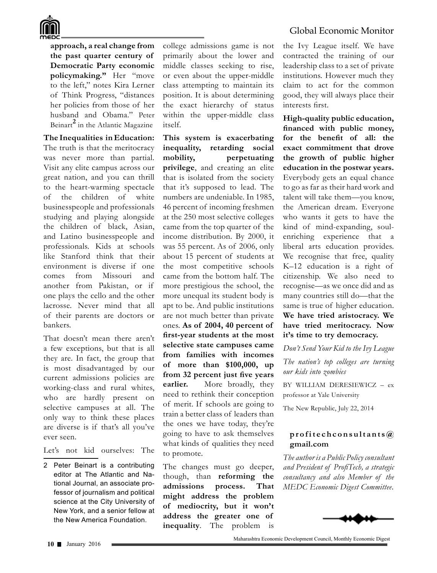

**approach, a real change from the past quarter century of Democratic Party economic policymaking."** Her "move to the left," notes Kira Lerner of Think Progress, "distances her policies from those of her husband and Obama." Peter Beinart**<sup>2</sup>** in the Atlantic Magazine

**The Inequalities in Education:** The truth is that the meritocracy was never more than partial. Visit any elite campus across our great nation, and you can thrill to the heart-warming spectacle of the children of white businesspeople and professionals studying and playing alongside the children of black, Asian, and Latino businesspeople and professionals. Kids at schools like Stanford think that their environment is diverse if one comes from Missouri and another from Pakistan, or if one plays the cello and the other lacrosse. Never mind that all of their parents are doctors or bankers.

That doesn't mean there aren't a few exceptions, but that is all they are. In fact, the group that is most disadvantaged by our current admissions policies are working-class and rural whites, who are hardly present on selective campuses at all. The only way to think these places are diverse is if that's all you've ever seen.

Let's not kid ourselves: The

2 Peter Beinart is a contributing editor at The Atlantic and National Journal, an associate professor of journalism and political science at the City University of New York, and a senior fellow at the New America Foundation.

college admissions game is not primarily about the lower and middle classes seeking to rise, or even about the upper-middle class attempting to maintain its position. It is about determining the exact hierarchy of status within the upper-middle class itself.

**This system is exacerbating inequality, retarding social mobility, perpetuating privilege**, and creating an elite that is isolated from the society that it's supposed to lead. The numbers are undeniable. In 1985, 46 percent of incoming freshmen at the 250 most selective colleges came from the top quarter of the income distribution. By 2000, it was 55 percent. As of 2006, only about 15 percent of students at the most competitive schools came from the bottom half. The more prestigious the school, the more unequal its student body is apt to be. And public institutions are not much better than private ones. **As of 2004, 40 percent of first-year students at the most selective state campuses came from families with incomes of more than \$100,000, up from 32 percent just five years earlier.** More broadly, they need to rethink their conception of merit. If schools are going to train a better class of leaders than the ones we have today, they're going to have to ask themselves what kinds of qualities they need to promote.

The changes must go deeper, though, than **reforming the admissions process. That might address the problem of mediocrity, but it won't address the greater one of inequality**. The problem is

#### Global Economic Monitor

the Ivy League itself. We have contracted the training of our leadership class to a set of private institutions. However much they claim to act for the common good, they will always place their interests first.

**High-quality public education, financed with public money, for the benefit of all: the exact commitment that drove the growth of public higher education in the postwar years.**  Everybody gets an equal chance to go as far as their hard work and talent will take them—you know, the American dream. Everyone who wants it gets to have the kind of mind-expanding, soulenriching experience that a liberal arts education provides. We recognise that free, quality K–12 education is a right of citizenship. We also need to recognise—as we once did and as many countries still do—that the same is true of higher education. **We have tried aristocracy. We have tried meritocracy. Now it's time to try democracy.**

*Don't Send Your Kid to the Ivy League*

*The nation's top colleges are turning our kids into zombies*

BY WILLIAM DERESIEWICZ – ex professor at Yale University

The New Republic, July 22, 2014

#### **profitechconsultants@ gmail.com**

*The author is a Public Policy consultant and President of ProfiTech, a strategic consultancy and also Member of the MEDC Economic Digest Committee*.

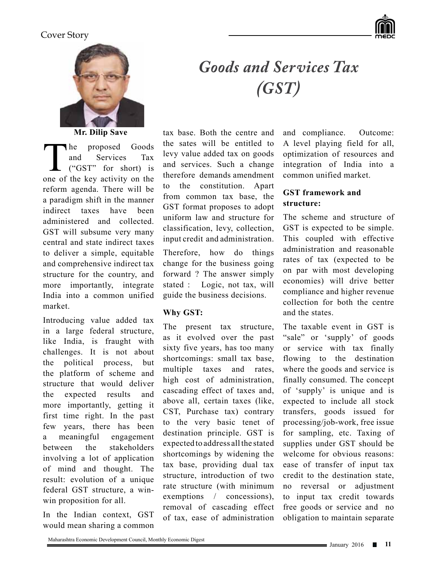



**Mr. Dilip Save**

The proposed Goods<br>and Services Tax<br>("GST" for short) is<br>one of the key activity on the and Services Tax ("GST" for short) is one of the key activity on the reform agenda. There will be a paradigm shift in the manner indirect taxes have been administered and collected. GST will subsume very many central and state indirect taxes to deliver a simple, equitable and comprehensive indirect tax structure for the country, and more importantly, integrate India into a common unified market.

Introducing value added tax in a large federal structure, like India, is fraught with challenges. It is not about the political process, but the platform of scheme and structure that would deliver the expected results and more importantly, getting it first time right. In the past few years, there has been a meaningful engagement between the stakeholders involving a lot of application of mind and thought. The result: evolution of a unique federal GST structure, a winwin proposition for all.

In the Indian context, GST would mean sharing a common

## *Goods and Services Tax (GST)*

tax base. Both the centre and the sates will be entitled to levy value added tax on goods and services. Such a change therefore demands amendment to the constitution. Apart from common tax base, the GST format proposes to adopt uniform law and structure for classification, levy, collection, input credit and administration.

Therefore, how do things change for the business going forward ? The answer simply stated : Logic, not tax, will guide the business decisions.

#### **Why GST:**

The present tax structure, as it evolved over the past sixty five years, has too many shortcomings: small tax base, multiple taxes and rates, high cost of administration, cascading effect of taxes and, above all, certain taxes (like, CST, Purchase tax) contrary to the very basic tenet of destination principle. GST is expected to address all the stated shortcomings by widening the tax base, providing dual tax structure, introduction of two rate structure (with minimum exemptions / concessions), removal of cascading effect of tax, ease of administration and compliance. Outcome: A level playing field for all, optimization of resources and integration of India into a common unified market.

#### **GST framework and structure:**

The scheme and structure of GST is expected to be simple. This coupled with effective administration and reasonable rates of tax (expected to be on par with most developing economies) will drive better compliance and higher revenue collection for both the centre and the states.

The taxable event in GST is "sale" or 'supply' of goods or service with tax finally flowing to the destination where the goods and service is finally consumed. The concept of 'supply' is unique and is expected to include all stock transfers, goods issued for processing/job-work, free issue for sampling, etc. Taxing of supplies under GST should be welcome for obvious reasons: ease of transfer of input tax credit to the destination state, no reversal or adjustment to input tax credit towards free goods or service and no obligation to maintain separate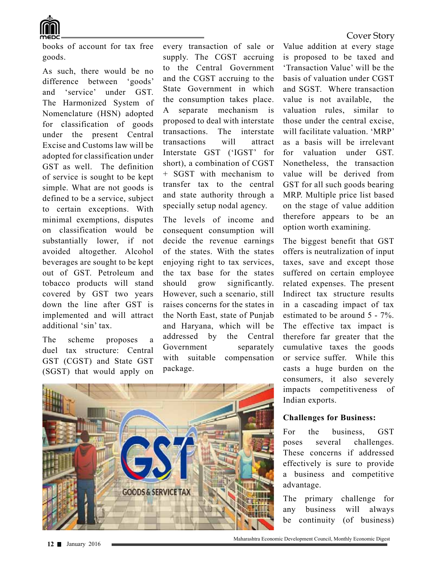

books of account for tax free goods.

As such, there would be no difference between 'goods' and 'service' under GST. The Harmonized System of Nomenclature (HSN) adopted for classification of goods under the present Central Excise and Customs law will be adopted for classification under GST as well. The definition of service is sought to be kept simple. What are not goods is defined to be a service, subject to certain exceptions. With minimal exemptions, disputes on classification would be substantially lower, if not avoided altogether. Alcohol beverages are sought to be kept out of GST. Petroleum and tobacco products will stand covered by GST two years down the line after GST is implemented and will attract additional 'sin' tax.

The scheme proposes duel tax structure: Central GST (CGST) and State GST (SGST) that would apply on every transaction of sale or supply. The CGST accruing to the Central Government and the CGST accruing to the State Government in which the consumption takes place. A separate mechanism is proposed to deal with interstate transactions. The interstate transactions will attract Interstate GST ('IGST' for short), a combination of CGST + SGST with mechanism to transfer tax to the central and state authority through a specially setup nodal agency.

The levels of income and consequent consumption will decide the revenue earnings of the states. With the states enjoying right to tax services, the tax base for the states should grow significantly. However, such a scenario, still raises concerns for the states in the North East, state of Punjab and Haryana, which will be addressed by the Central Government separately with suitable compensation package.



#### Cover Story

Value addition at every stage is proposed to be taxed and 'Transaction Value' will be the basis of valuation under CGST and SGST. Where transaction value is not available, the valuation rules, similar to those under the central excise, will facilitate valuation. 'MRP' as a basis will be irrelevant for valuation under GST. Nonetheless, the transaction value will be derived from GST for all such goods bearing MRP. Multiple price list based on the stage of value addition therefore appears to be an option worth examining.

The biggest benefit that GST offers is neutralization of input taxes, save and except those suffered on certain employee related expenses. The present Indirect tax structure results in a cascading impact of tax estimated to be around 5 - 7%. The effective tax impact is therefore far greater that the cumulative taxes the goods or service suffer. While this casts a huge burden on the consumers, it also severely impacts competitiveness of Indian exports.

#### **Challenges for Business:**

For the business, GST poses several challenges. These concerns if addressed effectively is sure to provide a business and competitive advantage.

The primary challenge for any business will always be continuity (of business)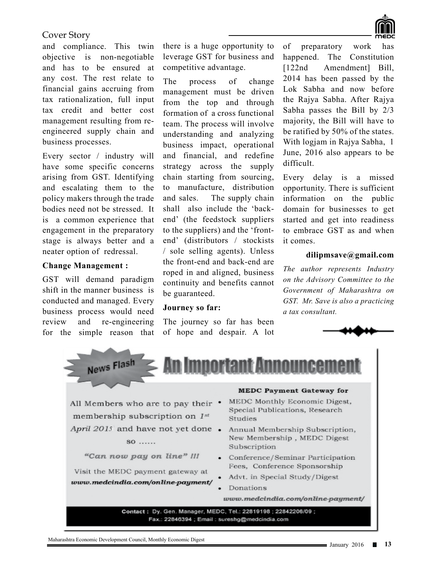

Every sector / industry will have some specific concerns arising from GST. Identifying and escalating them to the policy makers through the trade bodies need not be stressed. It is a common experience that engagement in the preparatory stage is always better and a neater option of redressal.

#### **Change Management :**

GST will demand paradigm shift in the manner business is conducted and managed. Every business process would need review and re-engineering for the simple reason that

there is a huge opportunity to leverage GST for business and competitive advantage.

The process of change management must be driven from the top and through formation of a cross functional team. The process will involve understanding and analyzing business impact, operational and financial, and redefine strategy across the supply chain starting from sourcing, to manufacture, distribution and sales. The supply chain shall also include the 'backend' (the feedstock suppliers to the suppliers) and the 'frontend' (distributors / stockists / sole selling agents). Unless the front-end and back-end are roped in and aligned, business continuity and benefits cannot be guaranteed.

#### **Journey so far:**

The journey so far has been of hope and despair. A lot of preparatory work has happened. The Constitution [122nd Amendment] Bill, 2014 has been passed by the Lok Sabha and now before the Rajya Sabha. After Rajya Sabha passes the Bill by 2/3 majority, the Bill will have to be ratified by 50% of the states. With logjam in Rajya Sabha, 1 June, 2016 also appears to be difficult.

Every delay is a missed opportunity. There is sufficient information on the public domain for businesses to get started and get into readiness to embrace GST as and when it comes.

#### **dilipmsave@gmail.com**

*The author represents Industry on the Advisory Committee to the Government of Maharashtra on GST. Mr. Save is also a practicing a tax consultant.*



All Members who are to pay their . membership subscription on 1st April 2015 and have not yet done .

 $so \dots$ 

#### "Can now pay on line" !!!

Visit the MEDC payment gateway at www.medcindia.com/online-payment/

- MEDC Monthly Economic Digest, Special Publications, Research Studies
- Annual Membership Subscription, New Membership, MEDC Digest Subscription
- Conference/Seminar Participation Fees, Conference Sponsorship
- Advt. in Special Study/Digest
- Donations

#### www.medcindia.com/online-payment/

Contact: Dy. Gen. Manager, MEDC, Tel.: 22819198 ; 22842206/09 ; Fax.: 22846394 ; Email : sureshg@medcindia.com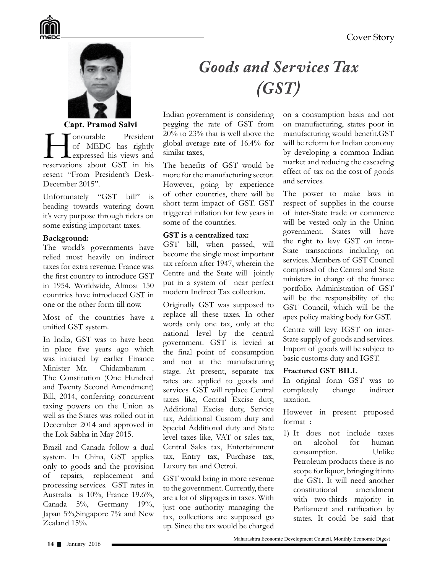



**Capt. Pramod Salvi**

**Homourable** President of MEDC has rightly expressed his views and reservations about GST in his of MEDC has rightly expressed his views and resent "From President's Desk-December 2015".

Unfortunately "GST bill" heading towards watering down it's very purpose through riders on some existing important taxes.

#### **Background:**

The world's governments have relied most heavily on indirect taxes for extra revenue. France was the first country to introduce GST in 1954. Worldwide, Almost 150 countries have introduced GST in one or the other form till now.

Most of the countries have a unified GST system.

In India, GST was to have been in place five years ago which was initiated by earlier Finance Minister Mr. Chidambaram . The Constitution (One Hundred and Twenty Second Amendment) Bill, 2014, conferring concurrent taxing powers on the Union as well as the States was rolled out in December 2014 and approved in the Lok Sabha in May 2015.

Brazil and Canada follow a dual system. In China, GST applies only to goods and the provision of repairs, replacement and processing services. GST rates in Australia is 10%, France 19.6%, Canada 5%, Germany 19%, Japan 5%,Singapore 7% and New Zealand 15%.

## *Goods and Services Tax (GST)*

Indian government is considering pegging the rate of GST from 20% to 23% that is well above the global average rate of 16.4% for similar taxes,

The benefits of GST would be more for the manufacturing sector. However, going by experience of other countries, there will be short term impact of GST. GST triggered inflation for few years in some of the countries.

#### **GST is a centralized tax:**

GST bill, when passed, will become the single most important tax reform after 1947, wherein the Centre and the State will jointly put in a system of near perfect modern Indirect Tax collection.

Originally GST was supposed to replace all these taxes. In other words only one tax, only at the national level by the central government. GST is levied at the final point of consumption and not at the manufacturing stage. At present, separate tax rates are applied to goods and services. GST will replace Central taxes like, Central Excise duty, Additional Excise duty, Service tax, Additional Custom duty and Special Additional duty and State level taxes like, VAT or sales tax, Central Sales tax, Entertainment tax, Entry tax, Purchase tax, Luxury tax and Octroi.

GST would bring in more revenue to the government. Currently, there are a lot of slippages in taxes. With just one authority managing the tax, collections are supposed go up. Since the tax would be charged on a consumption basis and not on manufacturing, states poor in manufacturing would benefit.GST will be reform for Indian economy by developing a common Indian market and reducing the cascading effect of tax on the cost of goods and services.

The power to make laws in respect of supplies in the course of inter-State trade or commerce will be vested only in the Union government. States will have the right to levy GST on intra-State transactions including on services. Members of GST Council comprised of the Central and State ministers in charge of the finance portfolio. Administration of GST will be the responsibility of the GST Council, which will be the apex policy making body for GST.

Centre will levy IGST on inter-State supply of goods and services. Import of goods will be subject to basic customs duty and IGST.

#### **Fractured GST BILL**

In original form GST was to completely change indirect taxation.

However in present proposed format :

1) It does not include taxes on alcohol for human consumption. Unlike Petroleum products there is no scope for liquor, bringing it into the GST. It will need another constitutional amendment with two-thirds majority in Parliament and ratification by states. It could be said that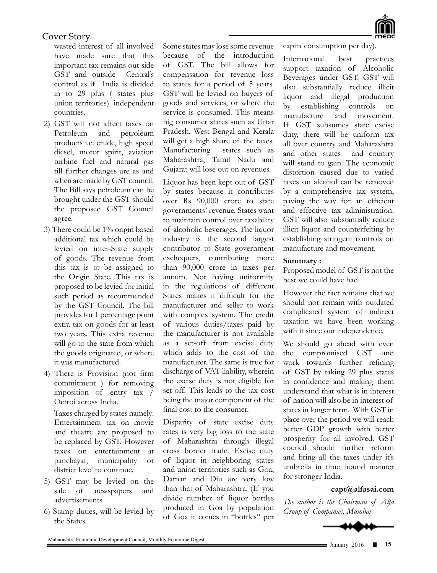wasted interest of all involved have made sure that this important tax remains out side GST and outside Central's control as if India is divided in to 29 plus ( states plus union territories) independent countries.

- 2) GST will not affect taxes on Petroleum and petroleum products i.e. crude, high speed diesel, motor spirit, aviation turbine fuel and natural gas till further changes are as and when are made by GST council. The Bill says petroleum can be brought under the GST should the proposed GST Council agree.
- 3) There could be 1% origin based additional tax which could be levied on inter-State supply of goods. The revenue from this tax is to be assigned to the Origin State. This tax is proposed to be levied for initial such period as recommended by the GST Council. The bill provides for 1 percentage point extra tax on goods for at least two years. This extra revenue will go to the state from which the goods originated, or where it was manufactured.
- 4) There is Provision (not firm commitment ) for removing imposition of entry tax / Octroi across India.

Taxes charged by states namely: Entertainment tax on movie and theatre are proposed to be replaced by GST. However taxes on entertainment at panchayat, municipality or district level to continue.

- 5) GST may be levied on the sale of newspapers and advertisements.
- 6) Stamp duties, will be levied by the States.

Some states may lose some revenue because of the introduction of GST. The bill allows for compensation for revenue loss to states for a period of 5 years. GST will be levied on buyers of goods and services, or where the service is consumed. This means big consumer states such as Uttar Pradesh, West Bengal and Kerala will get a high share of the taxes. Manufacturing states such as Maharashtra, Tamil Nadu and Gujarat will lose out on revenues.

Liquor has been kept out of GST by states because it contributes over Rs 90,000 crore to state governments' revenue. States want to maintain control over taxability of alcoholic beverages. The liquor industry is the second largest contributor to State government exchequers, contributing more than 90,000 crore in taxes per annum. Not having uniformity in the regulations of different States makes it difficult for the manufacturer and seller to work with complex system. The credit of various duties/taxes paid by the manufacturer is not available as a set-off from excise duty which adds to the cost of the manufacturer. The same is true for discharge of VAT liability, wherein the excise duty is not eligible for set-off. This leads to the tax cost being the major component of the final cost to the consumer.

Disparity of state excise duty rates is very big loss to the state of Maharashtra through illegal cross border trade. Excise duty of liquor in neighboring states and union territories such as Goa, Daman and Diu are very low than that of Maharashtra. (If you divide number of liquor bottles produced in Goa by population of Goa it comes in "bottles" per capita consumption per day).

International best practices support taxation of Alcoholic Beverages under GST. GST will also substantially reduce illicit liquor and illegal production by establishing controls on manufacture and movement. If GST subsumes state excise duty, there will be uniform tax all over country and Maharashtra and other states and country will stand to gain. The economic distortion caused due to varied taxes on alcohol can be removed by a comprehensive tax system, paving the way for an efficient and effective tax administration. GST will also substantially reduce illicit liquor and counterfeiting by establishing stringent controls on manufacture and movement.

#### **Summary :**

Proposed model of GST is not the best we could have had.

However the fact remains that we should not remain with outdated complicated system of indirect taxation we have been working with it since our independence.

We should go ahead with even the compromised GST and work towards further refining of GST by taking 29 plus states in confidence and making them understand that what is in interest of nation will also be in interest of states in longer term. With GST in place over the period we will reach better GDP growth with better prosperity for all involved. GST council should further reform and bring all the taxes under it's umbrella in time bound manner for stronger India.

#### **capt@alfasai.com**

*The author is the Chairman of Alfa Group of Companies, Mumbai* 

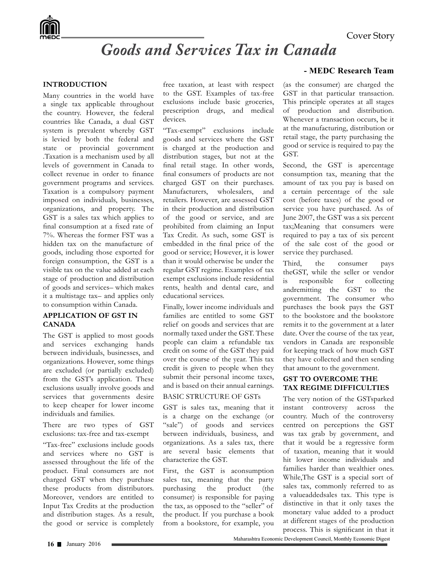



### *Goods and Services Tax in Canada*

#### **INTRODUCTION**

Many countries in the world have a single tax applicable throughout the country. However, the federal countries like Canada, a dual GST system is prevalent whereby GST is levied by both the federal and state or provincial government .Taxation is a mechanism used by all levels of government in Canada to collect revenue in order to finance government programs and services. Taxation is a compulsory payment imposed on individuals, businesses, organizations, and property. The GST is a sales tax which applies to final consumption at a fixed rate of 7%. Whereas the former FST was a hidden tax on the manufacture of goods, including those exported for foreign consumption, the GST is a visible tax on the value added at each stage of production and distribution of goods and services– which makes it a multistage tax– and applies only to consumption within Canada.

#### **APPLICATION OF GST IN CANADA**

The GST is applied to most goods and services exchanging hands between individuals, businesses, and organizations. However, some things are excluded (or partially excluded) from the GST's application. These exclusions usually involve goods and services that governments desire to keep cheaper for lower income individuals and families.

There are two types of GST exclusions: tax-free and tax-exempt

"Tax-free" exclusions include goods and services where no GST is assessed throughout the life of the product. Final consumers are not charged GST when they purchase these products from distributors. Moreover, vendors are entitled to Input Tax Credits at the production and distribution stages. As a result, the good or service is completely

free taxation, at least with respect to the GST. Examples of tax-free exclusions include basic groceries, prescription drugs, and medical devices.

"Tax-exempt" exclusions include goods and services where the GST is charged at the production and distribution stages, but not at the final retail stage. In other words, final consumers of products are not charged GST on their purchases. Manufacturers, wholesalers, and retailers. However, are assessed GST in their production and distribution of the good or service, and are prohibited from claiming an Input Tax Credit. As such, some GST is embedded in the final price of the good or service; However, it is lower than it would otherwise be under the regular GST regime. Examples of tax exempt exclusions include residential rents, health and dental care, and educational services.

Finally, lower income individuals and families are entitled to some GST relief on goods and services that are normally taxed under the GST. These people can claim a refundable tax credit on some of the GST they paid over the course of the year. This tax credit is given to people when they submit their personal income taxes, and is based on their annual earnings.

#### BASIC STRUCTURE OF GSTs

GST is sales tax, meaning that it is a charge on the exchange (or "sale") of goods and services between individuals, business, and organizations. As a sales tax, there are several basic elements that characterize the GST.

First, the GST is aconsumption sales tax, meaning that the party purchasing the product (the consumer) is responsible for paying the tax, as opposed to the "seller" of the product. If you purchase a book from a bookstore, for example, you

#### **- MEDC Research Team**

(as the consumer) are charged the GST in that particular transaction. This principle operates at all stages of production and distribution. Whenever a transaction occurs, be it at the manufacturing, distribution or retail stage, the party purchasing the good or service is required to pay the GST.

Second, the GST is apercentage consumption tax, meaning that the amount of tax you pay is based on a certain percentage of the sale cost (before taxes) of the good or service you have purchased. As of June 2007, the GST was a six percent tax;Meaning that consumers were required to pay a tax of six percent of the sale cost of the good or service they purchased.

Third, the consumer pays theGST, while the seller or vendor is responsible for collecting andremitting the GST to the government. The consumer who purchases the book pays the GST to the bookstore and the bookstore remits it to the government at a later date. Over the course of the tax year, vendors in Canada are responsible for keeping track of how much GST they have collected and then sending that amount to the government.

#### **GST TO OVERCOME THE TAX REGIME DIFFICULTIES**

The very notion of the GSTsparked instant controversy across the country. Much of the controversy centred on perceptions the GST was tax grab by government, and that it would be a regressive form of taxation, meaning that it would hit lower income individuals and families harder than wealthier ones. While,The GST is a special sort of sales tax, commonly referred to as a valueaddedsales tax. This type is distinctive in that it only taxes the monetary value added to a product at different stages of the production process. This is significant in that it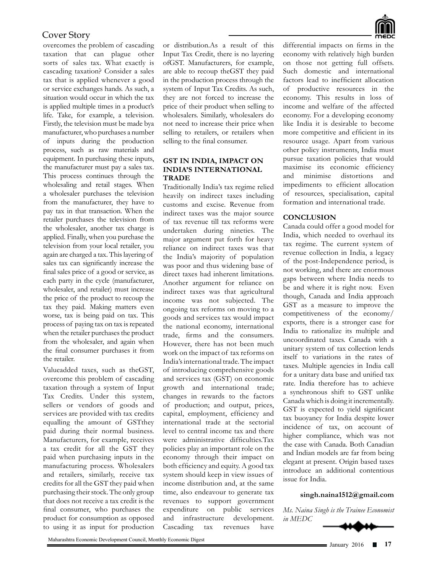overcomes the problem of cascading taxation that can plague other sorts of sales tax. What exactly is cascading taxation? Consider a sales tax that is applied whenever a good or service exchanges hands. As such, a situation would occur in which the tax is applied multiple times in a product's life. Take, for example, a television. Firstly, the television must be made bya manufacturer, who purchases a number of inputs during the production process, such as raw materials and equipment. In purchasing these inputs, the manufacturer must pay a sales tax. This process continues through the wholesaling and retail stages. When a wholesaler purchases the television from the manufacturer, they have to pay tax in that transaction. When the retailer purchases the television from the wholesaler, another tax charge is applied. Finally, when you purchase the television from your local retailer, you again are charged a tax. This layering of sales tax can significantly increase the final sales price of a good or service, as each party in the cycle (manufacturer, wholesaler, and retailer) must increase the price of the product to recoup the tax they paid. Making matters even worse, tax is being paid on tax. This process of paying tax on tax is repeated when the retailer purchases the product from the wholesaler, and again when the final consumer purchases it from the retailer.

Valueadded taxes, such as theGST, overcome this problem of cascading taxation through a system of Input Tax Credits. Under this system, sellers or vendors of goods and services are provided with tax credits equalling the amount of GSTthey paid during their normal business. Manufacturers, for example, receives a tax credit for all the GST they paid when purchasing inputs in the manufacturing process. Wholesalers and retailers, similarly, receive tax credits for all the GST they paid when purchasing their stock. The only group that does not receive a tax credit is the final consumer, who purchases the product for consumption as opposed to using it as input for production or distribution.As a result of this Input Tax Credit, there is no layering ofGST. Manufacturers, for example, are able to recoup theGST they paid in the production process through the system of Input Tax Credits. As such, they are not forced to increase the price of their product when selling to wholesalers. Similarly, wholesalers do not need to increase their price when selling to retailers, or retailers when selling to the final consumer.

#### **GST IN INDIA, IMPACT ON INDIA'S INTERNATIONAL TRADE**

Traditionally India's tax regime relied heavily on indirect taxes including customs and excise. Revenue from indirect taxes was the major source of tax revenue till tax reforms were undertaken during nineties. The major argument put forth for heavy reliance on indirect taxes was that the India's majority of population was poor and thus widening base of direct taxes had inherent limitations. Another argument for reliance on indirect taxes was that agricultural income was not subjected. The ongoing tax reforms on moving to a goods and services tax would impact the national economy, international trade, firms and the consumers. However, there has not been much work on the impact of tax reforms on India's international trade. The impact of introducing comprehensive goods and services tax (GST) on economic growth and international trade; changes in rewards to the factors of production; and output, prices, capital, employment, efficiency and international trade at the sectorial level to central income tax and there were administrative difficulties.Tax policies play an important role on the economy through their impact on both efficiency and equity. A good tax system should keep in view issues of income distribution and, at the same time, also endeavour to generate tax revenues to support government expenditure on public services and infrastructure development. Cascading tax revenues have



differential impacts on firms in the economy with relatively high burden on those not getting full offsets. Such domestic and international factors lead to inefficient allocation of productive resources in the economy. This results in loss of income and welfare of the affected economy. For a developing economy like India it is desirable to become more competitive and efficient in its resource usage. Apart from various other policy instruments, India must pursue taxation policies that would maximise its economic efficiency and minimise distortions and impediments to efficient allocation of resources, specialisation, capital formation and international trade.

#### **CONCLUSION**

Canada could offer a good model for India, which needed to overhaul its tax regime. The current system of revenue collection in India, a legacy of the post-Independence period, is not working, and there are enormous gaps between where India needs to be and where it is right now. Even though, Canada and India approach GST as a measure to improve the competitiveness of the economy/ exports, there is a stronger case for India to rationalize its multiple and uncoordinated taxes. Canada with a unitary system of tax collection lends itself to variations in the rates of taxes. Multiple agencies in India call for a unitary data base and unified tax rate. India therefore has to achieve a synchronous shift to GST unlike Canada which is doing it incrementally. GST is expected to yield significant tax buoyancy for India despite lower incidence of tax, on account of higher compliance, which was not the case with Canada. Both Canadian and Indian models are far from being elegant at present. Origin based taxes introduce an additional contentious issue for India.

#### **singh.naina1512@gmail.com**

*Ms. Naina Singh is the Trainee Economist in MEDC*

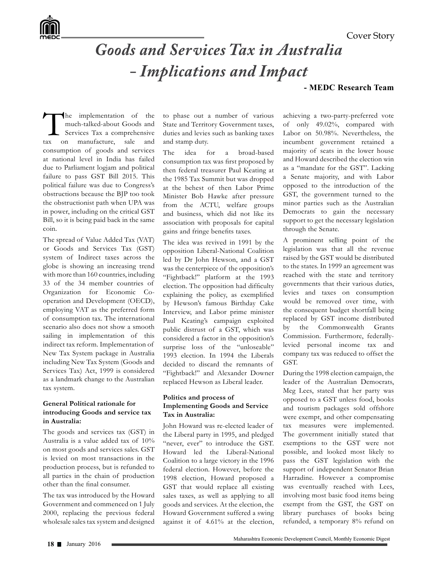

### *Goods and Services Tax in Australia - Implications and Impact*

#### **- MEDC Research Team**

The implementation of the<br>much-talked-about Goods and<br>Services Tax a comprehensive<br>tax on manufacture, sale and much-talked-about Goods and Services Tax a comprehensive manufacture, consumption of goods and services at national level in India has failed due to Parliament logjam and political failure to pass GST Bill 2015. This political failure was due to Congress's obstructions because the BJP too took the obstructionist path when UPA was in power, including on the critical GST Bill, so it is being paid back in the same coin.

The spread of Value Added Tax (VAT) or Goods and Services Tax (GST) system of Indirect taxes across the globe is showing an increasing trend with more than 160 countries, including 33 of the 34 member countries of Organization for Economic Cooperation and Development (OECD), employing VAT as the preferred form of consumption tax. The international scenario also does not show a smooth sailing in implementation of this indirect tax reform. Implementation of New Tax System package in Australia including New Tax System (Goods and Services Tax) Act, 1999 is considered as a landmark change to the Australian tax system.

#### **General Political rationale for introducing Goods and service tax in Australia:**

The goods and services tax (GST) in Australia is a value added tax of 10% on most goods and services sales. GST is levied on most transactions in the production process, but is refunded to all parties in the chain of production other than the final consumer.

The tax was introduced by the Howard Government and commenced on 1 July 2000, replacing the previous federal wholesale sales tax system and designed to phase out a number of various State and Territory Government taxes, duties and levies such as banking taxes and stamp duty.

The idea for a broad-based consumption tax was first proposed by then federal treasurer Paul Keating at the 1985 Tax Summit but was dropped at the behest of then Labor Prime Minister Bob Hawke after pressure from the ACTU, welfare groups and business, which did not like its association with proposals for capital gains and fringe benefits taxes.

The idea was revived in 1991 by the opposition Liberal-National Coalition led by Dr John Hewson, and a GST was the centerpiece of the opposition's "Fightback!" platform at the 1993 election. The opposition had difficulty explaining the policy, as exemplified by Hewson's famous Birthday Cake Interview, and Labor prime minister Paul Keating's campaign exploited public distrust of a GST, which was considered a factor in the opposition's surprise loss of the "unloseable" 1993 election. In 1994 the Liberals decided to discard the remnants of "Fightback!" and Alexander Downer replaced Hewson as Liberal leader.

#### **Politics and process of Implementing Goods and Service Tax in Australia:**

John Howard was re-elected leader of the Liberal party in 1995, and pledged "never, ever" to introduce the GST. Howard led the Liberal-National Coalition to a large victory in the 1996 federal election. However, before the 1998 election, Howard proposed a GST that would replace all existing sales taxes, as well as applying to all goods and services. At the election, the Howard Government suffered a swing against it of 4.61% at the election,

achieving a two-party-preferred vote of only 49.02%, compared with Labor on 50.98%. Nevertheless, the incumbent government retained a majority of seats in the lower house and Howard described the election win as a "mandate for the GST". Lacking a Senate majority, and with Labor opposed to the introduction of the GST, the government turned to the minor parties such as the Australian Democrats to gain the necessary support to get the necessary legislation through the Senate.

A prominent selling point of the legislation was that all the revenue raised by the GST would be distributed to the states. In 1999 an agreement was reached with the state and territory governments that their various duties, levies and taxes on consumption would be removed over time, with the consequent budget shortfall being replaced by GST income distributed by the Commonwealth Grants Commission. Furthermore, federallylevied personal income tax and company tax was reduced to offset the GST.

During the 1998 election campaign, the leader of the Australian Democrats, Meg Lees, stated that her party was opposed to a GST unless food, books and tourism packages sold offshore were exempt, and other compensating tax measures were implemented. The government initially stated that exemptions to the GST were not possible, and looked most likely to pass the GST legislation with the support of independent Senator Brian Harradine. However a compromise was eventually reached with Lees, involving most basic food items being exempt from the GST, the GST on library purchases of books being refunded, a temporary 8% refund on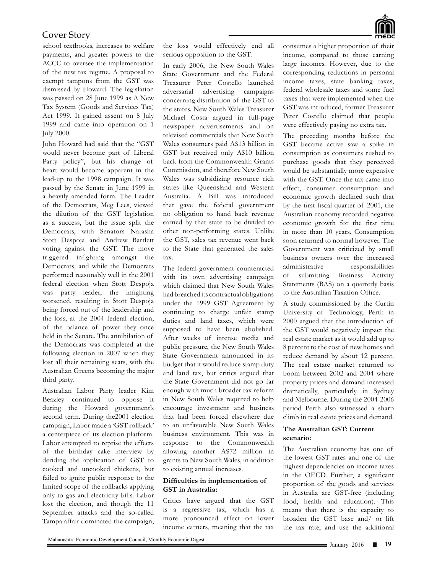school textbooks, increases to welfare payments, and greater powers to the ACCC to oversee the implementation of the new tax regime. A proposal to exempt tampons from the GST was dismissed by Howard. The legislation was passed on 28 June 1999 as A New Tax System (Goods and Services Tax) Act 1999. It gained assent on 8 July 1999 and came into operation on 1 July 2000.

John Howard had said that the "GST would never become part of Liberal Party policy", but his change of heart would become apparent in the lead-up to the 1998 campaign. It was passed by the Senate in June 1999 in a heavily amended form. The Leader of the Democrats, Meg Lees, viewed the dilution of the GST legislation as a success, but the issue split the Democrats, with Senators Natasha Stott Despoja and Andrew Bartlett voting against the GST. The move triggered infighting amongst the Democrats, and while the Democrats performed reasonably well in the 2001 federal election when Stott Despoja was party leader, the infighting worsened, resulting in Stott Despoja being forced out of the leadership and the loss, at the 2004 federal election, of the balance of power they once held in the Senate. The annihilation of the Democrats was completed at the following election in 2007 when they lost all their remaining seats, with the Australian Greens becoming the major third party.

Australian Labor Party leader Kim Beazley continued to oppose it during the Howard government's second term. During the2001 election campaign, Labor made a 'GST rollback' a centerpiece of its election platform. Labor attempted to reprise the effects of the birthday cake interview by deriding the application of GST to cooked and uncooked chickens, but failed to ignite public response to the limited scope of the rollbacks applying only to gas and electricity bills. Labor lost the election, and though the 11 September attacks and the so-called Tampa affair dominated the campaign, the loss would effectively end all serious opposition to the GST.

In early 2006, the New South Wales State Government and the Federal Treasurer Peter Costello launched adversarial advertising campaigns concerning distribution of the GST to the states. New South Wales Treasurer Michael Costa argued in full-page newspaper advertisements and on televised commercials that New South Wales consumers paid A\$13 billion in GST but received only A\$10 billion back from the Commonwealth Grants Commission, and therefore New South Wales was subsidizing resource rich states like Queensland and Western Australia. A Bill was introduced that gave the federal government no obligation to hand back revenue earned by that state to be divided to other non-performing states. Unlike the GST, sales tax revenue went back to the State that generated the sales tax.

The federal government counteracted with its own advertising campaign which claimed that New South Wales had breached its contractual obligations under the 1999 GST Agreement by continuing to charge unfair stamp duties and land taxes, which were supposed to have been abolished. After weeks of intense media and public pressure, the New South Wales State Government announced in its budget that it would reduce stamp duty and land tax, but critics argued that the State Government did not go far enough with much broader tax reform in New South Wales required to help encourage investment and business that had been forced elsewhere due to an unfavorable New South Wales business environment. This was in response to the Commonwealth allowing another A\$72 million in grants to New South Wales, in addition to existing annual increases.

#### **Difficulties in implementation of GST in Australia:**

Critics have argued that the GST is a regressive tax, which has a more pronounced effect on lower income earners, meaning that the tax

consumes a higher proportion of their income, compared to those earning large incomes. However, due to the corresponding reductions in personal income taxes, state banking taxes, federal wholesale taxes and some fuel taxes that were implemented when the GST was introduced, former Treasurer Peter Costello claimed that people were effectively paying no extra tax.

The preceding months before the GST became active saw a spike in consumption as consumers rushed to purchase goods that they perceived would be substantially more expensive with the GST. Once the tax came into effect, consumer consumption and economic growth declined such that by the first fiscal quarter of 2001, the Australian economy recorded negative economic growth for the first time in more than 10 years. Consumption soon returned to normal however. The Government was criticized by small business owners over the increased administrative responsibilities of submitting Business Activity Statements (BAS) on a quarterly basis to the Australian Taxation Office.

A study commissioned by the Curtin University of Technology, Perth in 2000 argued that the introduction of the GST would negatively impact the real estate market as it would add up to 8 percent to the cost of new homes and reduce demand by about 12 percent. The real estate market returned to boom between 2002 and 2004 where property prices and demand increased dramatically, particularly in Sydney and Melbourne. During the 2004-2006 period Perth also witnessed a sharp climb in real estate prices and demand.

#### **The Australian GST: Current scenario:**

The Australian economy has one of the lowest GST rates and one of the highest dependencies on income taxes in the OECD. Further, a significant proportion of the goods and services in Australia are GST-free (including food, health and education). This means that there is the capacity to broaden the GST base and/ or lift the tax rate, and use the additional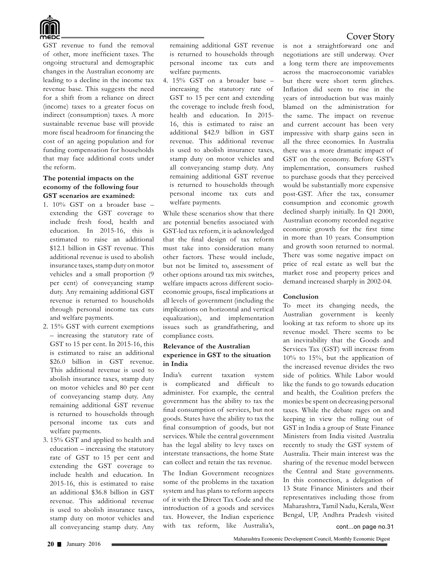

GST revenue to fund the removal of other, more inefficient taxes. The ongoing structural and demographic changes in the Australian economy are leading to a decline in the income tax revenue base. This suggests the need for a shift from a reliance on direct (income) taxes to a greater focus on indirect (consumption) taxes. A more sustainable revenue base will provide more fiscal headroom for financing the cost of an ageing population and for funding compensation for households that may face additional costs under the reform.

#### **The potential impacts on the economy of the following four GST scenarios are examined:**

- 1. 10% GST on a broader base extending the GST coverage to include fresh food, health and education. In 2015-16, this is estimated to raise an additional \$12.1 billion in GST revenue. This additional revenue is used to abolish insurance taxes, stamp duty on motor vehicles and a small proportion (9 per cent) of conveyancing stamp duty. Any remaining additional GST revenue is returned to households through personal income tax cuts and welfare payments.
- 2. 15% GST with current exemptions – increasing the statutory rate of GST to 15 per cent. In 2015-16, this is estimated to raise an additional \$26.0 billion in GST revenue. This additional revenue is used to abolish insurance taxes, stamp duty on motor vehicles and 80 per cent of conveyancing stamp duty. Any remaining additional GST revenue is returned to households through personal income tax cuts and welfare payments.
- 3. 15% GST and applied to health and education – increasing the statutory rate of GST to 15 per cent and extending the GST coverage to include health and education. In 2015-16, this is estimated to raise an additional \$36.8 billion in GST revenue. This additional revenue is used to abolish insurance taxes, stamp duty on motor vehicles and all conveyancing stamp duty. Any

remaining additional GST revenue is returned to households through personal income tax cuts and welfare payments.

4. 15% GST on a broader base – increasing the statutory rate of GST to 15 per cent and extending the coverage to include fresh food, health and education. In 2015- 16, this is estimated to raise an additional \$42.9 billion in GST revenue. This additional revenue is used to abolish insurance taxes, stamp duty on motor vehicles and all conveyancing stamp duty. Any remaining additional GST revenue is returned to households through personal income tax cuts and welfare payments.

While these scenarios show that there are potential benefits associated with GST-led tax reform, it is acknowledged that the final design of tax reform must take into consideration many other factors. These would include, but not be limited to, assessment of other options around tax mix switches, welfare impacts across different socioeconomic groups, fiscal implications at all levels of government (including the implications on horizontal and vertical equalization), and implementation issues such as grandfathering, and compliance costs.

#### **Relevance of the Australian experience in GST to the situation in India**

India's current taxation system is complicated and difficult to administer. For example, the central government has the ability to tax the final consumption of services, but not goods. States have the ability to tax the final consumption of goods, but not services. While the central government has the legal ability to levy taxes on interstate transactions, the home State can collect and retain the tax revenue.

The Indian Government recognizes some of the problems in the taxation system and has plans to reform aspects of it with the Direct Tax Code and the introduction of a goods and services tax. However, the Indian experience with tax reform, like Australia's,

#### Cover Story

is not a straightforward one and negotiations are still underway. Over a long term there are improvements across the macroeconomic variables but there were short term glitches. Inflation did seem to rise in the years of introduction but was mainly blamed on the administration for the same. The impact on revenue and current account has been very impressive with sharp gains seen in all the three economies. In Australia there was a more dramatic impact of GST on the economy. Before GST's implementation, consumers rushed to purchase goods that they perceived would be substantially more expensive post-GST. After the tax, consumer consumption and economic growth declined sharply initially. In Q1 2000, Australian economy recorded negative economic growth for the first time in more than 10 years. Consumption and growth soon returned to normal. There was some negative impact on price of real estate as well but the market rose and property prices and demand increased sharply in 2002-04.

#### **Conclusion**

To meet its changing needs, the Australian government is keenly looking at tax reform to shore up its revenue model. There seems to be an inevitability that the Goods and Services Tax (GST) will increase from 10% to 15%, but the application of the increased revenue divides the two side of politics. While Labor would like the funds to go towards education and health, the Coalition prefers the monies be spent on decreasing personal taxes. While the debate rages on and keeping in view the rolling out of GST in India a group of State Finance Ministers from India visited Australia recently to study the GST system of Australia. Their main interest was the sharing of the revenue model between the Central and State governments. In this connection, a delegation of 13 State Finance Ministers and their representatives including those from Maharashtra, Tamil Nadu, Kerala, West Bengal, UP, Andhra Pradesh visited

Maharashtra Economic Development Council, Monthly Economic Digest

cont...on page no.31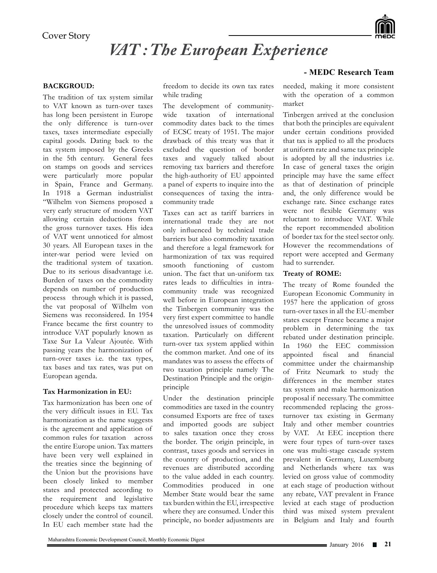

### *VAT : The European Experience*

#### **BACKGROUD:**

The tradition of tax system similar to VAT known as turn-over taxes has long been persistent in Europe the only difference is turn-over taxes, taxes intermediate especially capital goods. Dating back to the tax system imposed by the Greeks in the 5th century. General fees on stamps on goods and services were particularly more popular in Spain, France and Germany. In 1918 a German industrialist "Wilhelm von Siemens proposed a very early structure of modern VAT allowing certain deductions from the gross turnover taxes. His idea of VAT went unnoticed for almost 30 years. All European taxes in the inter-war period were levied on the traditional system of taxation. Due to its serious disadvantage i.e. Burden of taxes on the commodity depends on number of production process through which it is passed, the vat proposal of Wilhelm von Siemens was reconsidered. In 1954 France became the first country to introduce VAT popularly known as Taxe Sur La Valeur Ajoutée. With passing years the harmonization of turn-over taxes i.e. the tax types, tax bases and tax rates, was put on European agenda.

#### **Tax Harmonization in EU:**

Tax harmonization has been one of the very difficult issues in EU. Tax harmonization as the name suggests is the agreement and application of common rules for taxation across the entire Europe union. Tax matters have been very well explained in the treaties since the beginning of the Union but the provisions have been closely linked to member states and protected according to the requirement and legislative procedure which keeps tax matters closely under the control of council. In EU each member state had the freedom to decide its own tax rates while trading

The development of communitywide taxation of international commodity dates back to the times of ECSC treaty of 1951. The major drawback of this treaty was that it excluded the question of border taxes and vaguely talked about removing tax barriers and therefore the high-authority of EU appointed a panel of experts to inquire into the consequences of taxing the intracommunity trade

Taxes can act as tariff barriers in international trade they are not only influenced by technical trade barriers but also commodity taxation and therefore a legal framework for harmonization of tax was required smooth functioning of custom union. The fact that un-uniform tax rates leads to difficulties in intracommunity trade was recognized well before in European integration the Tinbergen community was the very first expert committee to handle the unresolved issues of commodity taxation. Particularly on different turn-over tax system applied within the common market. And one of its mandates was to assess the effects of two taxation principle namely The Destination Principle and the originprinciple

Under the destination principle commodities are taxed in the country consumed Exports are free of taxes and imported goods are subject to sales taxation once they cross the border. The origin principle, in contrast, taxes goods and services in the country of production, and the revenues are distributed according to the value added in each country. Commodities produced in one Member State would bear the same tax burden within the EU, irrespective where they are consumed. Under this principle, no border adjustments are

#### **- MEDC Research Team**

needed, making it more consistent with the operation of a common market

Tinbergen arrived at the conclusion that both the principles are equivalent under certain conditions provided that tax is applied to all the products at uniform rate and same tax principle is adopted by all the industries i.e. In case of general taxes the origin principle may have the same effect as that of destination of principle and, the only difference would be exchange rate. Since exchange rates were not flexible Germany was reluctant to introduce VAT. While the report recommended abolition of border tax for the steel sector only. However the recommendations of report were accepted and Germany had to surrender.

#### **Treaty of ROME:**

The treaty of Rome founded the European Economic Community in 1957 here the application of gross turn-over taxes in all the EU-member states except France became a major problem in determining the tax rebated under destination principle. In 1960 the EEC commission appointed fiscal and financial committee under the chairmanship of Fritz Neumark to study the differences in the member states tax system and make harmonization proposal if necessary. The committee recommended replacing the grossturnover tax existing in Germany Italy and other member countries by VAT. At EEC inception there were four types of turn-over taxes one was multi-stage cascade system prevalent in Germany, Luxemburg and Netherlands where tax was levied on gross value of commodity at each stage of production without any rebate, VAT prevalent in France levied at each stage of production third was mixed system prevalent in Belgium and Italy and fourth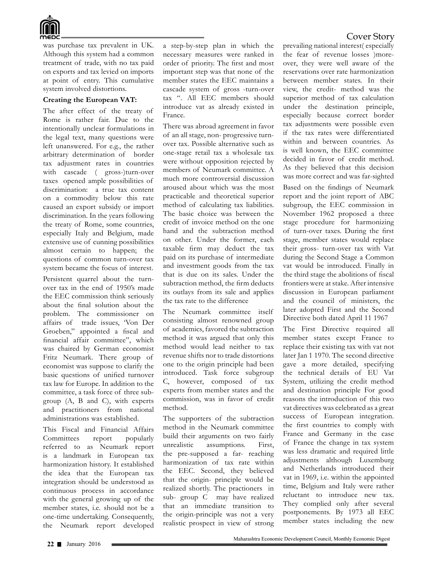

was purchase tax prevalent in UK. Although this system had a common treatment of trade, with no tax paid on exports and tax levied on imports at point of entry. This cumulative system involved distortions.

#### **Creating the European VAT:**

The after effect of the treaty of Rome is rather fair. Due to the intentionally unclear formulations in the legal text, many questions were left unanswered. For e.g., the rather arbitrary determination of border tax adjustment rates in countries with cascade ( gross-)turn-over taxes opened ample possibilities of discrimination: a true tax content on a commodity below this rate caused an export subsidy or import discrimination. In the years following the treaty of Rome, some countries, especially Italy and Belgium, made extensive use of cunning possibilities almost certain to happen; the questions of common turn-over tax system became the focus of interest.

Persistent quarrel about the turnover tax in the end of 1950's made the EEC commission think seriously about the final solution about the problem. The commissioner on affairs of trade issues, 'Von Der Groeben," appointed a fiscal and financial affair committee", which was chaired by German economist Fritz Neumark. There group of economist was suppose to clarify the basic questions of unified turnover tax law for Europe. In addition to the committee, a task force of three subgroup (A, B and C), with experts and practitioners from national administrations was established.

This Fiscal and Financial Affairs Committees report popularly referred to as Neumark report is a landmark in European tax harmonization history. It established the idea that the European tax integration should be understood as continuous process in accordance with the general growing up of the member states, i.e. should not be a one-time undertaking. Consequently, the Neumark report developed a step-by-step plan in which the necessary measures were ranked in order of priority. The first and most important step was that none of the member states the EEC maintains a cascade system of gross -turn-over tax ". All EEC members should introduce vat as already existed in France.

There was abroad agreement in favor of an all stage, non- progressive turnover tax. Possible alternative such as one-stage retail tax a wholesale tax were without opposition rejected by members of Neumark committee. A much more controversial discussion aroused about which was the most practicable and theoretical superior method of calculating tax liabilities. The basic choice was between the credit of invoice method on the one hand and the subtraction method on other. Under the former, each taxable firm may deduct the tax paid on its purchase of intermediate and investment goods from the tax that is due on its sales. Under the subtraction method, the firm deducts its outlays from its sale and applies the tax rate to the difference

The Neumark committee itself consisting almost renowned group of academics, favored the subtraction method it was argued that only this method would lead neither to tax revenue shifts nor to trade distortions one to the origin principle had been introduced. Task force subgroup C, however, composed of tax experts from member states and the commission, was in favor of credit method.

The supporters of the subtraction method in the Neumark committee build their arguments on two fairly unrealistic assumptions. First, the pre-supposed a far- reaching harmonization of tax rate within the EEC. Second, they believed that the origin- principle would be realized shortly. The practioners in sub- group C may have realized that an immediate transition to the origin-principle was not a very realistic prospect in view of strong

#### Cover Story

prevailing national interest( especially the fear of revenue losses )moreover, they were well aware of the reservations over rate harmonization between member states. In their view, the credit- method was the superior method of tax calculation under the destination principle, especially because correct border tax adjustments were possible even if the tax rates were differentiated within and between countries. As is well known, the EEC committee decided in favor of credit method. As they believed that this decision was more correct and was far-sighted

Based on the findings of Neumark report and the joint report of ABC subgroup, the EEC commission in November 1962 proposed a three stage procedure for harmonizing of turn-over taxes. During the first stage, member states would replace their gross- turn-over tax with Vat during the Second Stage a Common vat would be introduced. Finally in the third stage the abolitions of fiscal frontiers were at stake. After intensive discussion in European parliament and the council of ministers, the later adopted First and the Second Directive both dated April 11 1967

The First Directive required all member states except France to replace their existing tax with vat not later Jan 1 1970. The second directive gave a more detailed, specifying the technical details of EU Vat System, utilizing the credit method and destination principle For good reasons the introduction of this two vat directives was celebrated as a great success of European integration. the first countries to comply with France and Germany in the case of France the change in tax system was less dramatic and required little adjustments although Luxemburg and Netherlands introduced their vat in 1969, i.e. within the appointed time, Belgium and Italy were rather reluctant to introduce new tax. They complied only after several postponements. By 1973 all EEC member states including the new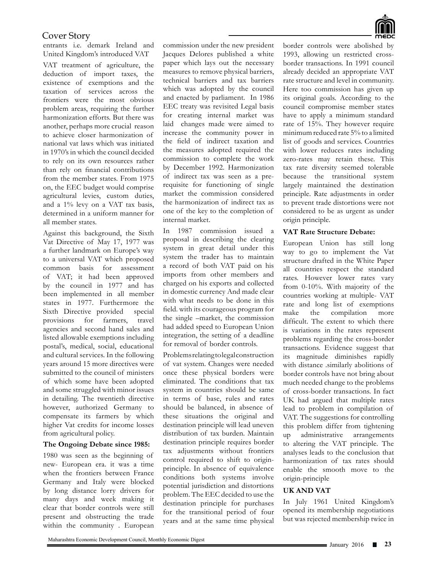entrants i.e. demark Ireland and United Kingdom's introduced VAT

VAT treatment of agriculture, the deduction of import taxes, the existence of exemptions and the taxation of services across the frontiers were the most obvious problem areas, requiring the further harmonization efforts. But there was another, perhaps more crucial reason to achieve closer harmonization of national vat laws which was initiated in 1970's in which the council decided to rely on its own resources rather than rely on financial contributions from the member states. From 1975 on, the EEC budget would comprise agricultural levies, custom duties, and a 1% levy on a VAT tax basis, determined in a uniform manner for all member states.

Against this background, the Sixth Vat Directive of May 17, 1977 was a further landmark on Europe's way to a universal VAT which proposed common basis for assessment of VAT; it had been approved by the council in 1977 and has been implemented in all member states in 1977. Furthermore the Sixth Directive provided special provisions for farmers, travel agencies and second hand sales and listed allowable exemptions including postal's, medical, social, educational and cultural services. In the following years around 15 more directives were submitted to the council of ministers of which some have been adopted and some struggled with minor issues in detailing. The twentieth directive however, authorized Germany to compensate its farmers by which higher Vat credits for income losses from agricultural policy.

#### **The Ongoing Debate since 1985:**

1980 was seen as the beginning of new- European era. it was a time when the frontiers between France Germany and Italy were blocked by long distance lorry drivers for many days and week making it clear that border controls were still present and obstructing the trade within the community . European

commission under the new president Jacques Delores published a white paper which lays out the necessary measures to remove physical barriers, technical barriers and tax barriers which was adopted by the council and enacted by parliament. In 1986 EEC treaty was revisited Legal basis for creating internal market was laid changes made were aimed to increase the community power in the field of indirect taxation and the measures adopted required the commission to complete the work by December 1992. Harmonization of indirect tax was seen as a prerequisite for functioning of single market the commission considered the harmonization of indirect tax as one of the key to the completion of internal market.

In 1987 commission issued a proposal in describing the clearing system in great detail under this system the trader has to maintain a record of both VAT paid on his imports from other members and charged on his exports and collected in domestic currency And made clear with what needs to be done in this field. with its courageous program for the single –market, the commission had added speed to European Union integration, the setting of a deadline for removal of border controls.

Problems relating to legal construction of vat system. Changes were needed once these physical borders were eliminated. The conditions that tax system in countries should be same in terms of base, rules and rates should be balanced, in absence of these situations the original and destination principle will lead uneven distribution of tax burden. Maintain destination principle requires border tax adjustments without frontiers control required to shift to originprinciple. In absence of equivalence conditions both systems involve potential jurisdiction and distortions problem. The EEC decided to use the destination principle for purchases for the transitional period of four years and at the same time physical

border controls were abolished by 1993, allowing un restricted crossborder transactions. In 1991 council already decided an appropriate VAT rate structure and level in community. Here too commission has given up its original goals. According to the council compromise member states have to apply a minimum standard rate of 15%. They however require minimum reduced rate 5% to a limited list of goods and services. Countries with lower reduces rates including zero-rates may retain these. This tax rate diversity seemed tolerable because the transitional system largely maintained the destination principle. Rate adjustments in order to prevent trade distortions were not considered to be as urgent as under origin principle.

#### **VAT Rate Structure Debate:**

European Union has still long way to go to implement the Vat structure drafted in the White Paper all countries respect the standard rates. However lower rates vary from 0-10%. With majority of the countries working at multiple- VAT rate and long list of exemptions make the compilation more difficult. The extent to which there is variations in the rates represent problems regarding the cross-border transactions. Evidence suggest that its magnitude diminishes rapidly with distance .similarly abolitions of border controls have not bring about much needed change to the problems of cross-border transactions. In fact UK had argued that multiple rates lead to problem in compilation of VAT. The suggestions for controlling this problem differ from tightening up administrative arrangements to altering the VAT principle. The analyses leads to the conclusion that harmonization of tax rates should enable the smooth move to the origin-principle

#### **UK AND VAT**

In July 1961 United Kingdom's opened its membership negotiations but was rejected membership twice in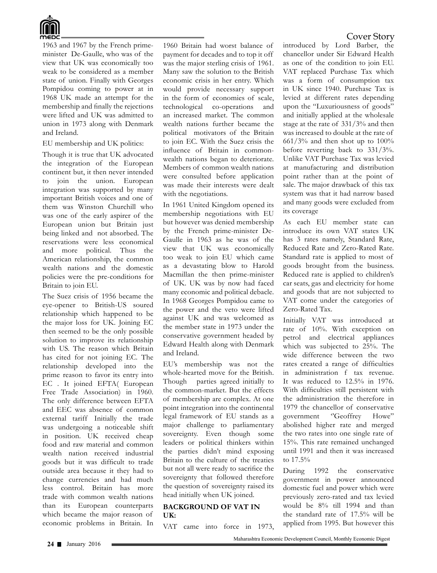

1963 and 1967 by the French primeminister De-Gaulle, who was of the view that UK was economically too weak to be considered as a member state of union. Finally with Georges Pompidou coming to power at in 1968 UK made an attempt for the membership and finally the rejections were lifted and UK was admitted to union in 1973 along with Denmark and Ireland.

#### EU membership and UK politics:

Though it is true that UK advocated the integration of the European continent but, it then never intended to join the union. European integration was supported by many important British voices and one of them was Winston Churchill who was one of the early aspirer of the European union but Britain just being linked and not absorbed. The reservations were less economical and more political. Thus the American relationship, the common wealth nations and the domestic policies were the pre-conditions for Britain to join EU.

The Suez crisis of 1956 became the eye-opener to British-US soured relationship which happened to be the major loss for UK. Joining EC then seemed to be the only possible solution to improve its relationship with US. The reason which Britain has cited for not joining EC. The relationship developed into the prime reason to favor its entry into EC . It joined EFTA( European Free Trade Association) in 1960. The only difference between EFTA and EEC was absence of common external tariff Initially the trade was undergoing a noticeable shift in position. UK received cheap food and raw material and common wealth nation received industrial goods but it was difficult to trade outside area because it they had to change currencies and had much less control. Britain has more trade with common wealth nations than its European counterparts which became the major reason of economic problems in Britain. In

1960 Britain had worst balance of payment for decades and to top it off was the major sterling crisis of 1961. Many saw the solution to the British economic crisis in her entry. Which would provide necessary support in the form of economies of scale, technological co-operations and an increased market. The common wealth nations further became the political motivators of the Britain to join EC. With the Suez crisis the influence of Britain in commonwealth nations began to deteriorate. Members of common wealth nations were consulted before application was made their interests were dealt with the negotiations.

In 1961 United Kingdom opened its membership negotiations with EU but however was denied membership by the French prime-minister De-Gaulle in 1963 as he was of the view that UK was economically too weak to join EU which came as a devastating blow to Harold Macmillan the then prime-minister of UK. UK was by now had faced many economic and political debacle. In 1968 Georges Pompidou came to the power and the veto were lifted against UK and was welcomed as the member state in 1973 under the conservative government headed by Edward Health along with Denmark and Ireland.

EU's membership was not the whole-hearted move for the British. Though parties agreed initially to the common-market. But the effects of membership are complex. At one point integration into the continental legal framework of EU stands as a major challenge to parliamentary sovereignty. Even though some leaders or political thinkers within the parties didn't mind exposing Britain to the culture of the treaties but not all were ready to sacrifice the sovereignty that followed therefore the question of sovereignty raised its head initially when UK joined.

#### **BACKGROUND OF VAT IN UK:**

VAT came into force in 1973,

#### Cover Story

introduced by Lord Barber, the chancellor under Sir Edward Health as one of the condition to join EU. VAT replaced Purchase Tax which was a form of consumption tax in UK since 1940. Purchase Tax is levied at different rates depending upon the "Luxuriousness of goods" and initially applied at the wholesale stage at the rate of 331/3% and then was increased to double at the rate of  $661/3\%$  and then shot up to  $100\%$ before reverting back to 331/3%. Unlike VAT Purchase Tax was levied at manufacturing and distribution point rather than at the point of sale. The major drawback of this tax system was that it had narrow based and many goods were excluded from its coverage

As each EU member state can introduce its own VAT states UK has 3 rates namely, Standard Rate, Reduced Rate and Zero-Rated Rate. Standard rate is applied to most of goods brought from the business. Reduced rate is applied to children's car seats, gas and electricity for home and goods that are not subjected to VAT come under the categories of Zero-Rated Tax.

Initially VAT was introduced at rate of 10%. With exception on petrol and electrical appliances which was subjected to 25%. The wide difference between the two rates created a range of difficulties in administration f tax revenue. It was reduced to 12.5% in 1976. With difficulties still persistent with the administration the therefore in 1979 the chancellor of conservative government ''Geoffrey Howe" abolished higher rate and merged the two rates into one single rate of 15%. This rate remained unchanged until 1991 and then it was increased to 17.5%

During 1992 the conservative government in power announced domestic fuel and power which were previously zero-rated and tax levied would be 8% till 1994 and than the standard rate of 17.5% will be applied from 1995. But however this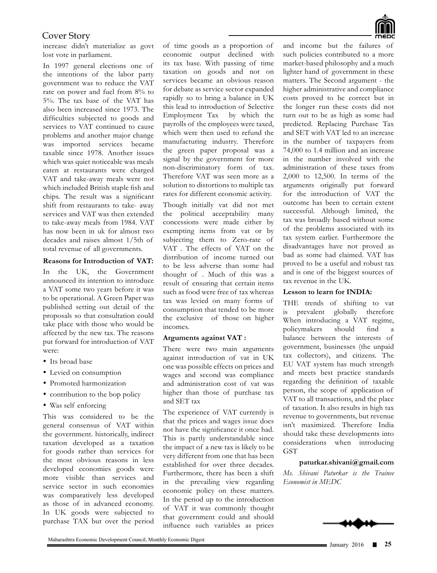increase didn't materialize as govt lost vote in parliament.

In 1997 general elections one of the intentions of the labor party government was to reduce the VAT rate on power and fuel from 8% to 5%. The tax base of the VAT has also been increased since 1973. The difficulties subjected to goods and services to VAT continued to cause problems and another major change was imported services became taxable since 1978. Another issues which was quiet noticeable was meals eaten at restaurants were charged VAT and take-away meals were not which included British staple fish and chips. The result was a significant shift from restaurants to take- away services and VAT was then extended to take-away meals from 1984. VAT has now been in uk for almost two decades and raises almost 1/5th of total revenue of all governments.

#### **Reasons for Introduction of VAT:**

In the UK, the Government announced its intention to introduce a VAT some two years before it was to be operational. A Green Paper was published setting out detail of the proposals so that consultation could take place with those who would be affected by the new tax. The reasons put forward for introduction of VAT were:

- Its broad base
- Levied on consumption
- Promoted harmonization
- contribution to the bop policy
- Was self enforcing

This was considered to be the general consensus of VAT within the government. historically, indirect taxation developed as a taxation for goods rather than services for the most obvious reasons in less developed economies goods were more visible than services and service sector in such economies was comparatively less developed as those of in advanced economy. In UK goods were subjected to purchase TAX but over the period of time goods as a proportion of economic output declined with its tax base. With passing of time taxation on goods and not on services became an obvious reason for debate as service sector expanded rapidly so to bring a balance in UK this lead to introduction of Selective Employment Tax by which the payrolls of the employees were taxed, which were then used to refund the manufacturing industry. Therefore the green paper proposal was a signal by the government for more non-discriminatory form of tax. Therefore VAT was seen more as a solution to distortions to multiple tax rates for different economic activity.

Though initially vat did not met the political acceptability many concessions were made either by exempting items from vat or by subjecting them to Zero-rate of VAT . The effects of VAT on the distribution of income turned out to be less adverse than some had thought of . Much of this was a result of ensuring that certain items such as food were free of tax whereas tax was levied on many forms of consumption that tended to be more the exclusive of those on higher incomes.

#### **Arguments against VAT :**

There were two main arguments against introduction of vat in UK one was possible effects on prices and wages and second was compliance and administration cost of vat was higher than those of purchase tax and SET tax

The experience of VAT currently is that the prices and wages issue does not have the significance it once had. This is partly understandable since the impact of a new tax is likely to be very different from one that has been established for over three decades. Furthermore, there has been a shift in the prevailing view regarding economic policy on these matters. In the period up to the introduction of VAT it was commonly thought that government could and should influence such variables as prices



and income but the failures of such policies contributed to a more market-based philosophy and a much lighter hand of government in these matters. The Second argument - the higher administrative and compliance costs proved to be correct but in the longer run these costs did not turn out to be as high as some had predicted. Replacing Purchase Tax and SET with VAT led to an increase in the number of taxpayers from 74,000 to 1.4 million and an increase in the number involved with the administration of these taxes from 2,000 to 12,500. In terms of the arguments originally put forward for the introduction of VAT the outcome has been to certain extent successful. Although limited, the tax was broadly based without some of the problems associated with its tax system earlier. Furthermore the disadvantages have not proved as bad as some had claimed. VAT has proved to be a useful and robust tax and is one of the biggest sources of tax revenue in the UK.

#### **Lesson to learn for INDIA:**

THE trends of shifting to vat is prevalent globally therefore When introducing a VAT regime, policymakers should find a balance between the interests of government, businesses (the unpaid tax collectors), and citizens. The EU VAT system has much strength and meets best practice standards regarding the definition of taxable person, the scope of application of VAT to all transactions, and the place of taxation. It also results in high tax revenue to governments, but revenue isn't maximized. Therefore India should take these developments into considerations when introducing **GST** 

#### **paturkar.shivani@gmail.com**

*Ms. Shivani Paturkar is the Trainee Economist in MEDC*

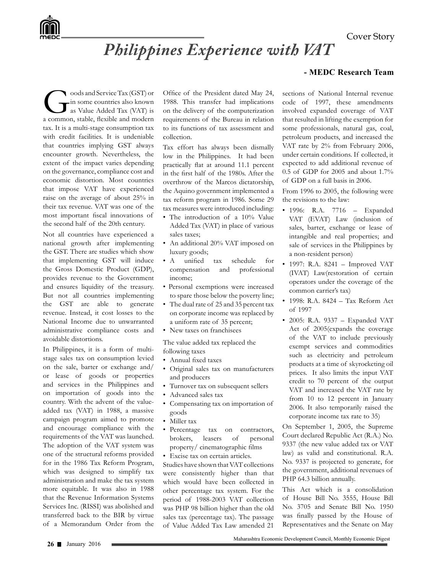

### *Philippines Experience with VAT*

oods and Service Tax (GST) or<br>in some countries also known<br>as Value Added Tax (VAT) is<br>a common stable flexible and modern in some countries also known as Value Added Tax (VAT) is a common, stable, flexible and modern tax. It is a multi-stage consumption tax with credit facilities. It is undeniable that countries implying GST always encounter growth. Nevertheless, the extent of the impact varies depending on the governance, compliance cost and economic distortion. Most countries that impose VAT have experienced raise on the average of about 25% in their tax revenue. VAT was one of the most important fiscal innovations of the second half of the 20th century.

Not all countries have experienced a national growth after implementing the GST. There are studies which show that implementing GST will induce the Gross Domestic Product (GDP), provides revenue to the Government and ensures liquidity of the treasury. But not all countries implementing the GST are able to generate revenue. Instead, it cost losses to the National Income due to unwarranted administrative compliance costs and avoidable distortions.

In Philippines, it is a form of multistage sales tax on consumption levied on the sale, barter or exchange and/ or lease of goods or properties and services in the Philippines and on importation of goods into the country. With the advent of the valueadded tax (VAT) in 1988, a massive campaign program aimed to promote and encourage compliance with the requirements of the VAT was launched. The adoption of the VAT system was one of the structural reforms provided for in the 1986 Tax Reform Program, which was designed to simplify tax administration and make the tax system more equitable. It was also in 1988 that the Revenue Information Systems Services Inc. (RISSI) was abolished and transferred back to the BIR by virtue of a Memorandum Order from the Office of the President dated May 24, 1988. This transfer had implications on the delivery of the computerization requirements of the Bureau in relation to its functions of tax assessment and collection.

Tax effort has always been dismally low in the Philippines. It had been practically flat at around 11.1 percent in the first half of the 1980s. After the overthrow of the Marcos dictatorship, the Aquino government implemented a tax reform program in 1986. Some 29 tax measures were introduced including:

- The introduction of a 10% Value Added Tax (VAT) in place of various sales taxes;
- An additional 20% VAT imposed on luxury goods;
- A unified tax schedule for compensation and professional income;
- Personal exemptions were increased to spare those below the poverty line;
- The dual rate of 25 and 35 percent tax on corporate income was replaced by a uniform rate of 35 percent;
- New taxes on franchisees

The value added tax replaced the following taxes

- Annual fixed taxes
- Original sales tax on manufacturers and producers
- Turnover tax on subsequent sellers
- Advanced sales tax
- Compensating tax on importation of goods
- Miller tax
- Percentage tax on contractors, brokers, leasers of personal property/ cinematographic films
- Excise tax on certain articles.

Studies have shown that VAT collections were consistently higher than that which would have been collected in other percentage tax system. For the period of 1988-2003 VAT collection was PHP 98 billion higher than the old sales tax (percentage tax). The passage of Value Added Tax Law amended 21

#### **- MEDC Research Team**

sections of National Internal revenue code of 1997, these amendments involved expanded coverage of VAT that resulted in lifting the exemption for some professionals, natural gas, coal, petroleum products, and increased the VAT rate by 2% from February 2006, under certain conditions. If collected, it expected to add additional revenue of 0.5 of GDP for 2005 and about 1.7% of GDP on a full basis in 2006.

From 1996 to 2005, the following were the revisions to the law:

- 1996: R.A. 7716 Expanded VAT (EVAT) Law (inclusion of sales, barter, exchange or lease of intangible and real properties; and sale of services in the Philippines by a non-resident person)
- 1997: R.A. 8241 Improved VAT (IVAT) Law(restoration of certain operators under the coverage of the common carrier's tax)
- 1998: R.A. 8424 Tax Reform Act of 1997
- 2005: R.A. 9337 Expanded VAT Act of 2005(expands the coverage of the VAT to include previously exempt services and commodities such as electricity and petroleum products at a time of skyrocketing oil prices. It also limits the input VAT credit to 70 percent of the output VAT and increased the VAT rate by from 10 to 12 percent in January 2006. It also temporarily raised the corporate income tax rate to 35)
- On September 1, 2005, the Supreme Court declared Republic Act (R.A.) No. 9337 (the new value added tax or VAT law) as valid and constitutional. R.A. No. 9337 is projected to generate, for the government, additional revenues of PHP 64.3 billion annually.

This Act which is a consolidation of House Bill No. 3555, House Bill No. 3705 and Senate Bill No. 1950 was finally passed by the House of Representatives and the Senate on May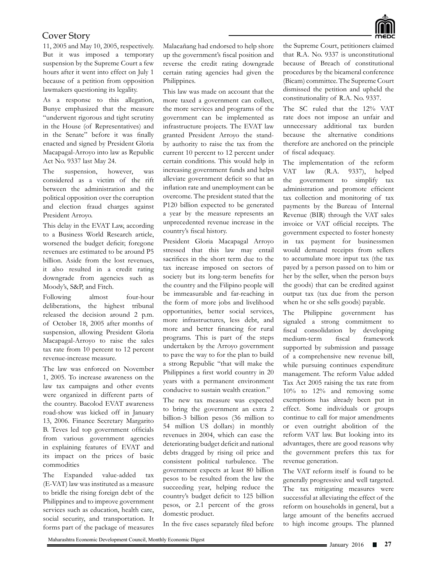

11, 2005 and May 10, 2005, respectively. But it was imposed a temporary suspension by the Supreme Court a few hours after it went into effect on July 1 because of a petition from opposition lawmakers questioning its legality.

As a response to this allegation, Bunye emphasized that the measure "underwent rigorous and tight scrutiny in the House (of Representatives) and in the Senate" before it was finally enacted and signed by President Gloria Macapagal-Arroyo into law as Republic Act No. 9337 last May 24.

The suspension, however, was considered as a victim of the rift between the administration and the political opposition over the corruption and election fraud charges against President Arroyo.

This delay in the EVAT Law, according to a Business World Research article, worsened the budget deficit; foregone revenues are estimated to be around P5 billion. Aside from the lost revenues, it also resulted in a credit rating downgrade from agencies such as Moody's, S&P, and Fitch.

Following almost four-hour deliberations, the highest tribunal released the decision around 2 p.m. of October 18, 2005 after months of suspension, allowing President Gloria Macapagal-Arroyo to raise the sales tax rate from 10 percent to 12 percent revenue-increase measure.

The law was enforced on November 1, 2005. To increase awareness on the law tax campaigns and other events were organized in different parts of the country. Bacolod EVAT awareness road-show was kicked off in January 13, 2006. Finance Secretary Margarito B. Teves led top government officials from various government agencies in explaining features of EVAT and its impact on the prices of basic commodities

The Expanded value-added tax (E-VAT) law was instituted as a measure to bridle the rising foreign debt of the Philippines and to improve government services such as education, health care, social security, and transportation. It forms part of the package of measures

Malacañang had endorsed to help shore up the government's fiscal position and reverse the credit rating downgrade certain rating agencies had given the Philippines.

This law was made on account that the more taxed a government can collect, the more services and programs of the government can be implemented as infrastructure projects. The EVAT law granted President Arroyo the standby authority to raise the tax from the current 10 percent to 12 percent under certain conditions. This would help in increasing government funds and helps alleviate government deficit so that an inflation rate and unemployment can be overcome. The president stated that the P120 billion expected to be generated a year by the measure represents an unprecedented revenue increase in the country's fiscal history.

President Gloria Macapagal Arroyo stressed that this law may entail sacrifices in the short term due to the tax increase imposed on sectors of society but its long-term benefits for the country and the Filipino people will be immeasurable and far-reaching in the form of more jobs and livelihood opportunities, better social services, more infrastructures, less debt, and more and better financing for rural programs. This is part of the steps undertaken by the Arroyo government to pave the way to for the plan to build a strong Republic "that will make the Philippines a first world country in 20 years with a permanent environment conducive to sustain wealth creation."

The new tax measure was expected to bring the government an extra 2 billion-3 billion pesos (36 million to 54 million US dollars) in monthly revenues in 2004, which can ease the deteriorating budget deficit and national debts dragged by rising oil price and consistent political turbulence. The government expects at least 80 billion pesos to be resulted from the law the succeeding year, helping reduce the country's budget deficit to 125 billion pesos, or 2.1 percent of the gross domestic product.

In the five cases separately filed before

the Supreme Court, petitioners claimed that R.A. No. 9337 is unconstitutional because of Breach of constitutional procedures by the bicameral conference (Bicam) committee. The Supreme Court dismissed the petition and upheld the constitutionality of R.A. No. 9337.

The SC ruled that the 12% VAT rate does not impose an unfair and unnecessary additional tax burden because the alternative conditions therefore are anchored on the principle of fiscal adequacy.

The implementation of the reform VAT law (R.A. 9337), helped the government to simplify tax administration and promote efficient tax collection and monitoring of tax payments by the Bureau of Internal Revenue (BIR) through the VAT sales invoice or VAT official receipts. The government expected to foster honesty in tax payment for businessmen would demand receipts from sellers to accumulate more input tax (the tax payed by a person passed on to him or her by the seller, when the person buys the goods) that can be credited against output tax (tax due from the person when he or she sells goods) payable.

The Philippine government has signaled a strong commitment to fiscal consolidation by developing medium-term fiscal framework supported by submission and passage of a comprehensive new revenue bill, while pursuing continues expenditure management. The reform Value added Tax Act 2005 raising the tax rate from 10% to 12% and removing some exemptions has already been put in effect. Some individuals or groups continue to call for major amendments or even outright abolition of the reform VAT law. But looking into its advantages, there are good reasons why the government prefers this tax for revenue generation.

The VAT reform itself is found to be generally progressive and well targeted. The tax mitigating measures were successful at alleviating the effect of the reform on households in general, but a large amount of the benefits accrued to high income groups. The planned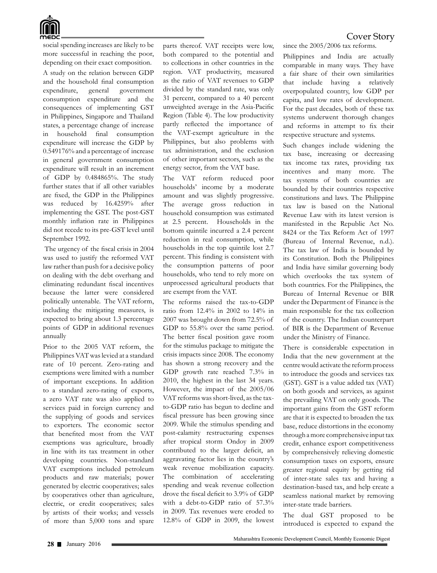

social spending increases are likely to be more successful in reaching the poor, depending on their exact composition. A study on the relation between GDP and the household final consumption expenditure, general government consumption expenditure and the consequences of implementing GST in Philippines, Singapore and Thailand states, a percentage change of increase in household final consumption expenditure will increase the GDP by 0.549176% and a percentage of increase in general government consumption expenditure will result in an increment of GDP by 0.484865%. The study further states that if all other variables are fixed, the GDP in the Philippines was reduced by 16.4259% after implementing the GST. The post-GST monthly inflation rate in Philippines did not recede to its pre-GST level until September 1992.

 The urgency of the fiscal crisis in 2004 was used to justify the reformed VAT law rather than push for a decisive policy on dealing with the debt overhang and eliminating redundant fiscal incentives because the latter were considered politically untenable. The VAT reform, including the mitigating measures, is expected to bring about 1.3 percentage points of GDP in additional revenues annually

Prior to the 2005 VAT reform, the Philippines VAT was levied at a standard rate of 10 percent. Zero-rating and exemptions were limited with a number of important exceptions. In addition to a standard zero-rating of exports, a zero VAT rate was also applied to services paid in foreign currency and the supplying of goods and services to exporters. The economic sector that benefited most from the VAT exemptions was agriculture, broadly in line with its tax treatment in other developing countries. Non-standard VAT exemptions included petroleum products and raw materials; power generated by electric cooperatives; sales by cooperatives other than agriculture, electric, or credit cooperatives; sales by artists of their works; and vessels of more than 5,000 tons and spare

parts thereof. VAT receipts were low, both compared to the potential and to collections in other countries in the region. VAT productivity, measured as the ratio of VAT revenues to GDP divided by the standard rate, was only 31 percent, compared to a 40 percent unweighted average in the Asia-Pacific Region (Table 4). The low productivity partly reflected the importance of the VAT-exempt agriculture in the Philippines, but also problems with tax administration, and the exclusion of other important sectors, such as the energy sector, from the VAT base.

The VAT reform reduced poor households' income by a moderate amount and was slightly progressive. The average gross reduction in household consumption was estimated at 2.5 percent. Households in the bottom quintile incurred a 2.4 percent reduction in real consumption, while households in the top quintile lost 2.7 percent. This finding is consistent with the consumption patterns of poor households, who tend to rely more on unprocessed agricultural products that are exempt from the VAT.

The reforms raised the tax-to-GDP ratio from 12.4% in 2002 to 14% in 2007 was brought down from 72.5% of GDP to 55.8% over the same period. The better fiscal position gave room for the stimulus package to mitigate the crisis impacts since 2008. The economy has shown a strong recovery and the GDP growth rate reached 7.3% in 2010, the highest in the last 34 years. However, the impact of the 2005/06 VAT reforms was short-lived, as the taxto-GDP ratio has begun to decline and fiscal pressure has been growing since 2009. While the stimulus spending and post-calamity restructuring expenses after tropical storm Ondoy in 2009 contributed to the larger deficit, an aggravating factor lies in the country's weak revenue mobilization capacity. The combination of accelerating spending and weak revenue collection drove the fiscal deficit to 3.9% of GDP with a debt-to-GDP ratio of 57.3% in 2009. Tax revenues were eroded to 12.8% of GDP in 2009, the lowest

#### Cover Story

since the 2005/2006 tax reforms.

Philippines and India are actually comparable in many ways. They have a fair share of their own similarities that include having a relatively overpopulated country, low GDP per capita, and low rates of development. For the past decades, both of these tax systems underwent thorough changes and reforms in attempt to fix their respective structure and systems.

Such changes include widening the tax base, increasing or decreasing tax income tax rates, providing tax incentives and many more. The tax systems of both countries are bounded by their countries respective constitutions and laws. The Philippine tax law is based on the National Revenue Law with its latest version is manifested in the Republic Act No. 8424 or the Tax Reform Act of 1997 (Bureau of Internal Revenue, n.d.). The tax law of India is bounded by its Constitution. Both the Philippines and India have similar governing body which overlooks the tax system of both countries. For the Philippines, the Bureau of Internal Revenue or BIR under the Department of Finance is the main responsible for the tax collection of the country. The Indian counterpart of BIR is the Department of Revenue under the Ministry of Finance.

There is considerable expectation in India that the new government at the centre would activate the reform process to introduce the goods and services tax (GST). GST is a value added tax (VAT) on both goods and services, as against the prevailing VAT on only goods. The important gains from the GST reform are that it is expected to broaden the tax base, reduce distortions in the economy through a more comprehensive input tax credit, enhance export competitiveness by comprehensively relieving domestic consumption taxes on exports, ensure greater regional equity by getting rid of inter-state sales tax and having a destination-based tax, and help create a seamless national market by removing inter-state trade barriers.

The dual GST proposed to be introduced is expected to expand the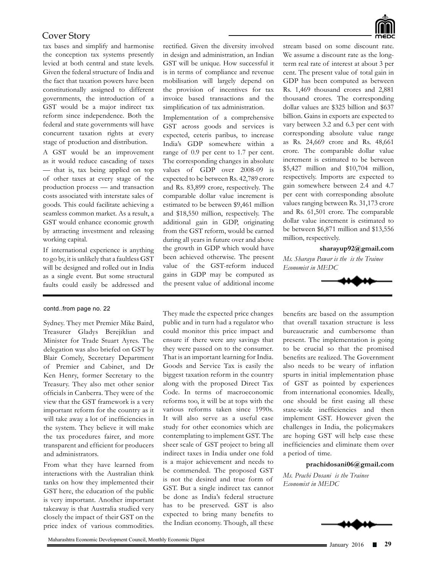tax bases and simplify and harmonise the conception tax systems presently levied at both central and state levels. Given the federal structure of India and the fact that taxation powers have been constitutionally assigned to different governments, the introduction of a GST would be a major indirect tax reform since independence. Both the federal and state governments will have concurrent taxation rights at every stage of production and distribution.

A GST would be an improvement as it would reduce cascading of taxes — that is, tax being applied on top of other taxes at every stage of the production process — and transaction costs associated with interstate sales of goods. This could facilitate achieving a seamless common market. As a result, a GST would enhance economic growth by attracting investment and releasing working capital.

If international experience is anything to go by, it is unlikely that a faultless GST will be designed and rolled out in India as a single event. But some structural faults could easily be addressed and

#### contd..from page no. 22

Sydney. They met Premier Mike Baird, Treasurer Gladys Berejiklian and Minister for Trade Stuart Ayres. The delegation was also briefed on GST by Blair Comely, Secretary Department of Premier and Cabinet, and Dr Ken Henry, former Secretary to the Treasury. They also met other senior officials in Canberra. They were of the view that the GST framework is a very important reform for the country as it will take away a lot of inefficiencies in the system. They believe it will make the tax procedures fairer, and more transparent and efficient for producers and administrators.

From what they have learned from interactions with the Australian think tanks on how they implemented their GST here, the education of the public is very important. Another important takeaway is that Australia studied very closely the impact of their GST on the price index of various commodities.

rectified. Given the diversity involved in design and administration, an Indian GST will be unique. How successful it is in terms of compliance and revenue mobilisation will largely depend on the provision of incentives for tax invoice based transactions and the simplification of tax administration.

Implementation of a comprehensive GST across goods and services is expected, ceteris paribus, to increase India's GDP somewhere within a range of 0.9 per cent to 1.7 per cent. The corresponding changes in absolute values of GDP over 2008-09 is expected to be between Rs. 42,789 crore and Rs. 83,899 crore, respectively. The comparable dollar value increment is estimated to be between \$9,461 million and \$18,550 million, respectively. The additional gain in GDP, originating from the GST reform, would be earned during all years in future over and above the growth in GDP which would have been achieved otherwise. The present value of the GST-reform induced gains in GDP may be computed as the present value of additional income

They made the expected price changes public and in turn had a regulator who could monitor this price impact and ensure if there were any savings that they were passed on to the consumer. That is an important learning for India. Goods and Service Tax is easily the biggest taxation reform in the country along with the proposed Direct Tax Code. In terms of macroeconomic reforms too, it will be at tops with the various reforms taken since 1990s. It will also serve as a useful case study for other economies which are contemplating to implement GST. The sheer scale of GST project to bring all indirect taxes in India under one fold is a major achievement and needs to be commended. The proposed GST is not the desired and true form of GST. But a single indirect tax cannot be done as India's federal structure has to be preserved. GST is also expected to bring many benefits to the Indian economy. Though, all these



stream based on some discount rate.

*Ms. Sharayu Pawar is the is the Trainee Economist in MEDC*



benefits are based on the assumption that overall taxation structure is less bureaucratic and cumbersome than present. The implementation is going to be crucial so that the promised benefits are realized. The Government also needs to be weary of inflation spurts in initial implementation phase of GST as pointed by experiences from international economies. Ideally, one should be first easing all these state-wide inefficiencies and then implement GST. However given the challenges in India, the policymakers are hoping GST will help ease these inefficiencies and eliminate them over a period of time.

#### **prachidosani06@gmail.com**

*Ms. Prachi Dosani is the Trainee Economist in MEDC*

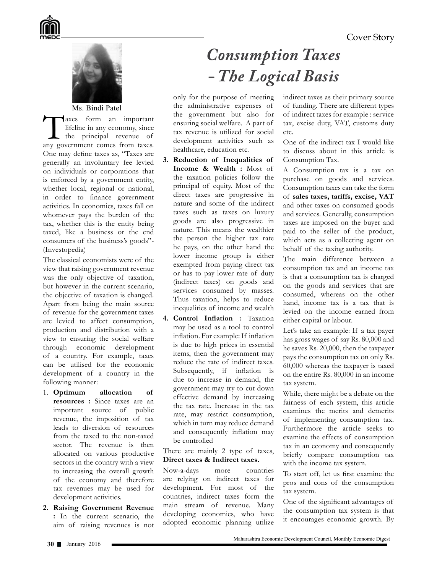



Ms. Bindi Patel

axes form an important<br>lifeline in any economy, since<br>the principal revenue of<br>any povernment comes from taxes. lifeline in any economy, since the principal revenue of any government comes from taxes. One may define taxes as, "Taxes are generally an involuntary fee levied on individuals or corporations that is enforced by a government entity, whether local, regional or national, in order to finance government activities. In economics, taxes fall on whomever pays the burden of the tax, whether this is the entity being taxed, like a business or the end consumers of the business's goods"- (Investopedia)

The classical economists were of the view that raising government revenue was the only objective of taxation, but however in the current scenario, the objective of taxation is changed. Apart from being the main source of revenue for the government taxes are levied to affect consumption, production and distribution with a view to ensuring the social welfare through economic development of a country. For example, taxes can be utilised for the economic development of a country in the following manner:

- 1. **Optimum allocation of resources :** Since taxes are an important source of public revenue, the imposition of tax leads to diversion of resources from the taxed to the non-taxed sector. The revenue is then allocated on various productive sectors in the country with a view to increasing the overall growth of the economy and therefore tax revenues may be used for development activities.
- **2. Raising Government Revenue :** In the current scenario, the aim of raising revenues is not

## *Consumption Taxes - The Logical Basis*

only for the purpose of meeting the administrative expenses of the government but also for ensuring social welfare. A part of tax revenue is utilized for social development activities such as healthcare, education etc.

- **3. Reduction of Inequalities of Income & Wealth :** Most of the taxation policies follow the principal of equity. Most of the direct taxes are progressive in nature and some of the indirect taxes such as taxes on luxury goods are also progressive in nature. This means the wealthier the person the higher tax rate he pays, on the other hand the lower income group is either exempted from paying direct tax or has to pay lower rate of duty (indirect taxes) on goods and services consumed by masses. Thus taxation, helps to reduce inequalities of income and wealth
- **4. Control Inflation :** Taxation may be used as a tool to control inflation. For example: If inflation is due to high prices in essential items, then the government may reduce the rate of indirect taxes. Subsequently, if inflation is due to increase in demand, the government may try to cut down effective demand by increasing the tax rate. Increase in the tax rate, may restrict consumption, which in turn may reduce demand and consequently inflation may be controlled

There are mainly 2 type of taxes, **Direct taxes & Indirect taxes.**

Now-a-days more countries are relying on indirect taxes for development. For most of the countries, indirect taxes form the main stream of revenue. Many developing economies, who have adopted economic planning utilize

indirect taxes as their primary source of funding. There are different types of indirect taxes for example : service tax, excise duty, VAT, customs duty etc.

One of the indirect tax I would like to discuss about in this article is Consumption Tax.

A Consumption tax is a tax on purchase on goods and services. Consumption taxes can take the form of **sales taxes, tariffs, excise, VAT** and other taxes on consumed goods and services. Generally, consumption taxes are imposed on the buyer and paid to the seller of the product, which acts as a collecting agent on behalf of the taxing authority.

The main difference between a consumption tax and an income tax is that a consumption tax is charged on the goods and services that are consumed, whereas on the other hand, income tax is a tax that is levied on the income earned from either capital or labour.

Let's take an example: If a tax payer has gross wages of say Rs. 80,000 and he saves Rs. 20,000, then the taxpayer pays the consumption tax on only Rs. 60,000 whereas the taxpayer is taxed on the entire Rs. 80,000 in an income tax system.

While, there might be a debate on the fairness of each system, this article examines the merits and demerits of implementing consumption tax. Furthermore the article seeks to examine the effects of consumption tax in an economy and consequently briefly compare consumption tax with the income tax system.

To start off, let us first examine the pros and cons of the consumption tax system.

One of the significant advantages of the consumption tax system is that it encourages economic growth. By